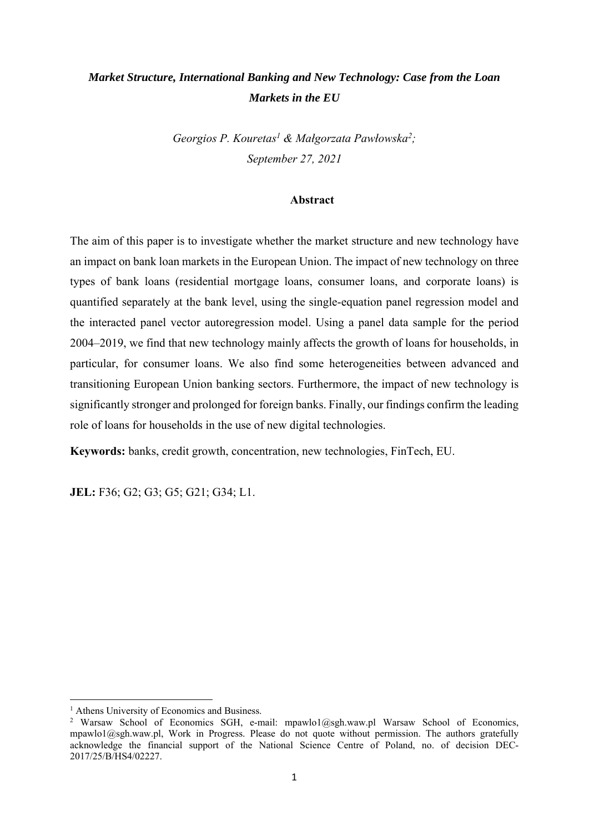# *Market Structure, International Banking and New Technology: Case from the Loan Markets in the EU*

*Georgios P. Kouretas1 & Małgorzata Pawłowska2; September 27, 2021* 

## **Abstract**

The aim of this paper is to investigate whether the market structure and new technology have an impact on bank loan markets in the European Union. The impact of new technology on three types of bank loans (residential mortgage loans, consumer loans, and corporate loans) is quantified separately at the bank level, using the single-equation panel regression model and the interacted panel vector autoregression model. Using a panel data sample for the period 2004–2019, we find that new technology mainly affects the growth of loans for households, in particular, for consumer loans. We also find some heterogeneities between advanced and transitioning European Union banking sectors. Furthermore, the impact of new technology is significantly stronger and prolonged for foreign banks. Finally, our findings confirm the leading role of loans for households in the use of new digital technologies.

**Keywords:** banks, credit growth, concentration, new technologies, FinTech, EU.

**JEL:** F36; G2; G3; G5; G21; G34; L1.

<sup>&</sup>lt;sup>1</sup> Athens University of Economics and Business.

<sup>&</sup>lt;sup>2</sup> Warsaw School of Economics SGH, e-mail: mpawlo1@sgh.waw.pl Warsaw School of Economics, mpawlo1@sgh.waw.pl, Work in Progress. Please do not quote without permission. The authors gratefully acknowledge the financial support of the National Science Centre of Poland, no. of decision DEC-2017/25/B/HS4/02227.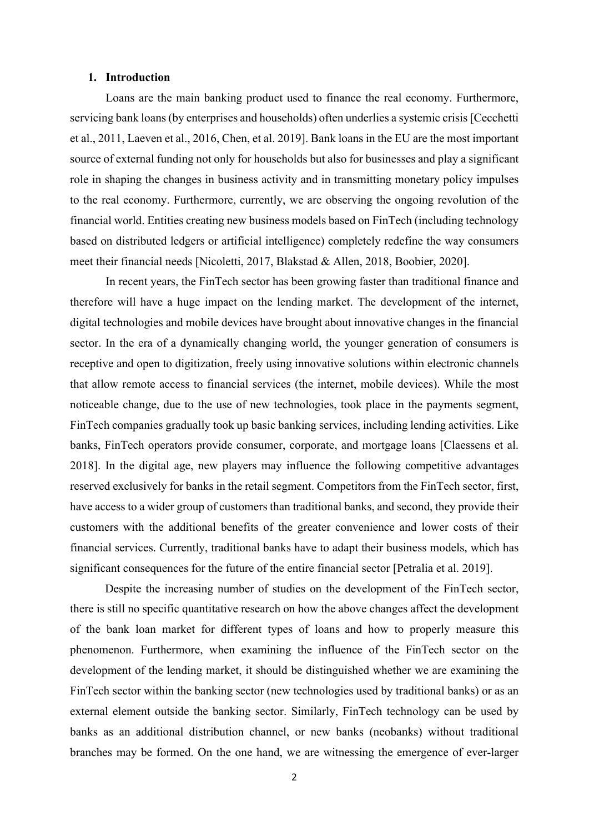### **1. Introduction**

Loans are the main banking product used to finance the real economy. Furthermore, servicing bank loans (by enterprises and households) often underlies a systemic crisis [Cecchetti et al., 2011, Laeven et al., 2016, Chen, et al. 2019]. Bank loans in the EU are the most important source of external funding not only for households but also for businesses and play a significant role in shaping the changes in business activity and in transmitting monetary policy impulses to the real economy. Furthermore, currently, we are observing the ongoing revolution of the financial world. Entities creating new business models based on FinTech (including technology based on distributed ledgers or artificial intelligence) completely redefine the way consumers meet their financial needs [Nicoletti, 2017, Blakstad & Allen, 2018, Boobier, 2020].

In recent years, the FinTech sector has been growing faster than traditional finance and therefore will have a huge impact on the lending market. The development of the internet, digital technologies and mobile devices have brought about innovative changes in the financial sector. In the era of a dynamically changing world, the younger generation of consumers is receptive and open to digitization, freely using innovative solutions within electronic channels that allow remote access to financial services (the internet, mobile devices). While the most noticeable change, due to the use of new technologies, took place in the payments segment, FinTech companies gradually took up basic banking services, including lending activities. Like banks, FinTech operators provide consumer, corporate, and mortgage loans [Claessens et al. 2018]. In the digital age, new players may influence the following competitive advantages reserved exclusively for banks in the retail segment. Competitors from the FinTech sector, first, have access to a wider group of customers than traditional banks, and second, they provide their customers with the additional benefits of the greater convenience and lower costs of their financial services. Currently, traditional banks have to adapt their business models, which has significant consequences for the future of the entire financial sector [Petralia et al. 2019].

Despite the increasing number of studies on the development of the FinTech sector, there is still no specific quantitative research on how the above changes affect the development of the bank loan market for different types of loans and how to properly measure this phenomenon. Furthermore, when examining the influence of the FinTech sector on the development of the lending market, it should be distinguished whether we are examining the FinTech sector within the banking sector (new technologies used by traditional banks) or as an external element outside the banking sector. Similarly, FinTech technology can be used by banks as an additional distribution channel, or new banks (neobanks) without traditional branches may be formed. On the one hand, we are witnessing the emergence of ever-larger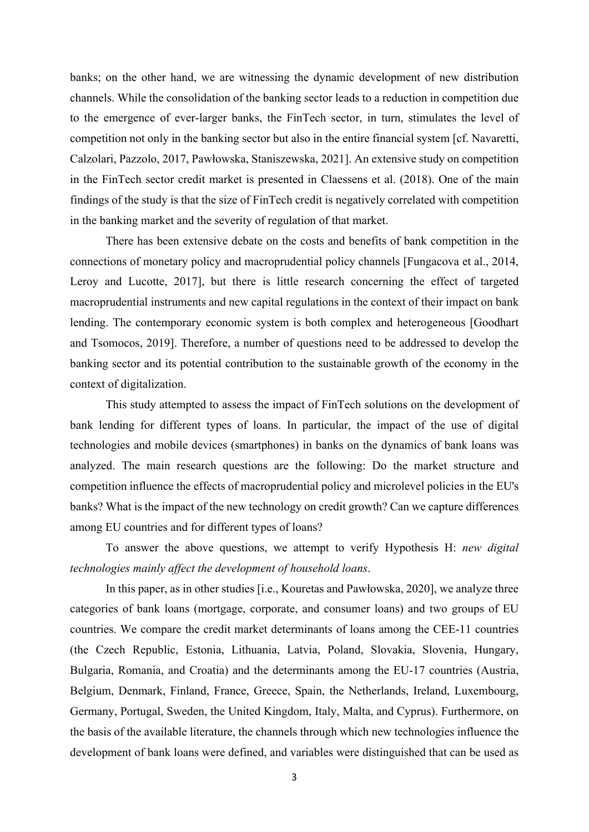banks; on the other hand, we are witnessing the dynamic development of new distribution channels. While the consolidation of the banking sector leads to a reduction in competition due to the emergence of ever-larger banks, the FinTech sector, in turn, stimulates the level of competition not only in the banking sector but also in the entire financial system [cf. Navaretti, Calzolari, Pazzolo, 2017, Pawłowska, Staniszewska, 2021]. An extensive study on competition in the FinTech sector credit market is presented in Claessens et al. (2018). One of the main findings of the study is that the size of FinTech credit is negatively correlated with competition in the banking market and the severity of regulation of that market.

There has been extensive debate on the costs and benefits of bank competition in the connections of monetary policy and macroprudential policy channels [Fungacova et al., 2014, Leroy and Lucotte, 2017], but there is little research concerning the effect of targeted macroprudential instruments and new capital regulations in the context of their impact on bank lending. The contemporary economic system is both complex and heterogeneous [Goodhart and Tsomocos, 2019]. Therefore, a number of questions need to be addressed to develop the banking sector and its potential contribution to the sustainable growth of the economy in the context of digitalization.

This study attempted to assess the impact of FinTech solutions on the development of bank lending for different types of loans. In particular, the impact of the use of digital technologies and mobile devices (smartphones) in banks on the dynamics of bank loans was analyzed. The main research questions are the following: Do the market structure and competition influence the effects of macroprudential policy and microlevel policies in the EU's banks? What is the impact of the new technology on credit growth? Can we capture differences among EU countries and for different types of loans?

To answer the above questions, we attempt to verify Hypothesis H: *new digital technologies mainly affect the development of household loans*.

In this paper, as in other studies [i.e., Kouretas and Pawłowska, 2020], we analyze three categories of bank loans (mortgage, corporate, and consumer loans) and two groups of EU countries. We compare the credit market determinants of loans among the CEE-11 countries (the Czech Republic, Estonia, Lithuania, Latvia, Poland, Slovakia, Slovenia, Hungary, Bulgaria, Romania, and Croatia) and the determinants among the EU-17 countries (Austria, Belgium, Denmark, Finland, France, Greece, Spain, the Netherlands, Ireland, Luxembourg, Germany, Portugal, Sweden, the United Kingdom, Italy, Malta, and Cyprus). Furthermore, on the basis of the available literature, the channels through which new technologies influence the development of bank loans were defined, and variables were distinguished that can be used as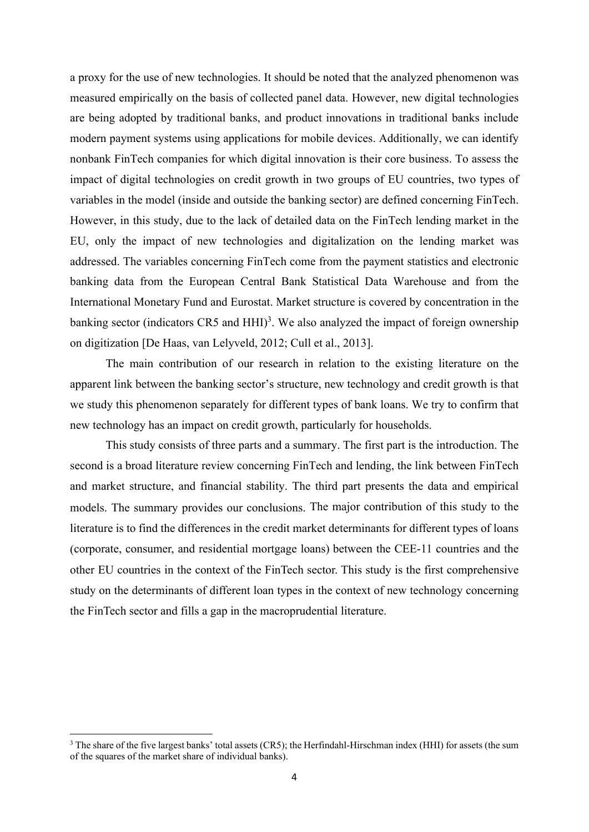a proxy for the use of new technologies. It should be noted that the analyzed phenomenon was measured empirically on the basis of collected panel data. However, new digital technologies are being adopted by traditional banks, and product innovations in traditional banks include modern payment systems using applications for mobile devices. Additionally, we can identify nonbank FinTech companies for which digital innovation is their core business. To assess the impact of digital technologies on credit growth in two groups of EU countries, two types of variables in the model (inside and outside the banking sector) are defined concerning FinTech. However, in this study, due to the lack of detailed data on the FinTech lending market in the EU, only the impact of new technologies and digitalization on the lending market was addressed. The variables concerning FinTech come from the payment statistics and electronic banking data from the European Central Bank Statistical Data Warehouse and from the International Monetary Fund and Eurostat. Market structure is covered by concentration in the banking sector (indicators CR5 and HHI)<sup>3</sup>. We also analyzed the impact of foreign ownership on digitization [De Haas, van Lelyveld, 2012; Cull et al., 2013].

The main contribution of our research in relation to the existing literature on the apparent link between the banking sector's structure, new technology and credit growth is that we study this phenomenon separately for different types of bank loans. We try to confirm that new technology has an impact on credit growth, particularly for households.

This study consists of three parts and a summary. The first part is the introduction. The second is a broad literature review concerning FinTech and lending, the link between FinTech and market structure, and financial stability. The third part presents the data and empirical models. The summary provides our conclusions. The major contribution of this study to the literature is to find the differences in the credit market determinants for different types of loans (corporate, consumer, and residential mortgage loans) between the CEE-11 countries and the other EU countries in the context of the FinTech sector. This study is the first comprehensive study on the determinants of different loan types in the context of new technology concerning the FinTech sector and fills a gap in the macroprudential literature.

<sup>&</sup>lt;sup>3</sup> The share of the five largest banks' total assets (CR5); the Herfindahl-Hirschman index (HHI) for assets (the sum of the squares of the market share of individual banks).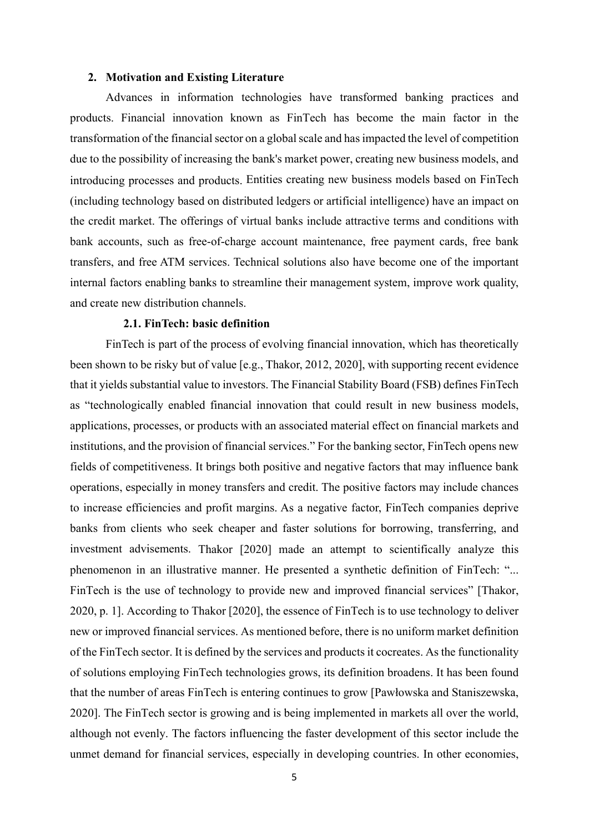#### **2. Motivation and Existing Literature**

Advances in information technologies have transformed banking practices and products. Financial innovation known as FinTech has become the main factor in the transformation of the financial sector on a global scale and has impacted the level of competition due to the possibility of increasing the bank's market power, creating new business models, and introducing processes and products. Entities creating new business models based on FinTech (including technology based on distributed ledgers or artificial intelligence) have an impact on the credit market. The offerings of virtual banks include attractive terms and conditions with bank accounts, such as free-of-charge account maintenance, free payment cards, free bank transfers, and free ATM services. Technical solutions also have become one of the important internal factors enabling banks to streamline their management system, improve work quality, and create new distribution channels.

## **2.1. FinTech: basic definition**

FinTech is part of the process of evolving financial innovation, which has theoretically been shown to be risky but of value [e.g., Thakor, 2012, 2020], with supporting recent evidence that it yields substantial value to investors. The Financial Stability Board (FSB) defines FinTech as "technologically enabled financial innovation that could result in new business models, applications, processes, or products with an associated material effect on financial markets and institutions, and the provision of financial services." For the banking sector, FinTech opens new fields of competitiveness. It brings both positive and negative factors that may influence bank operations, especially in money transfers and credit. The positive factors may include chances to increase efficiencies and profit margins. As a negative factor, FinTech companies deprive banks from clients who seek cheaper and faster solutions for borrowing, transferring, and investment advisements. Thakor [2020] made an attempt to scientifically analyze this phenomenon in an illustrative manner. He presented a synthetic definition of FinTech: "... FinTech is the use of technology to provide new and improved financial services" [Thakor, 2020, p. 1]. According to Thakor [2020], the essence of FinTech is to use technology to deliver new or improved financial services. As mentioned before, there is no uniform market definition of the FinTech sector. It is defined by the services and products it cocreates. As the functionality of solutions employing FinTech technologies grows, its definition broadens. It has been found that the number of areas FinTech is entering continues to grow [Pawłowska and Staniszewska, 2020]. The FinTech sector is growing and is being implemented in markets all over the world, although not evenly. The factors influencing the faster development of this sector include the unmet demand for financial services, especially in developing countries. In other economies,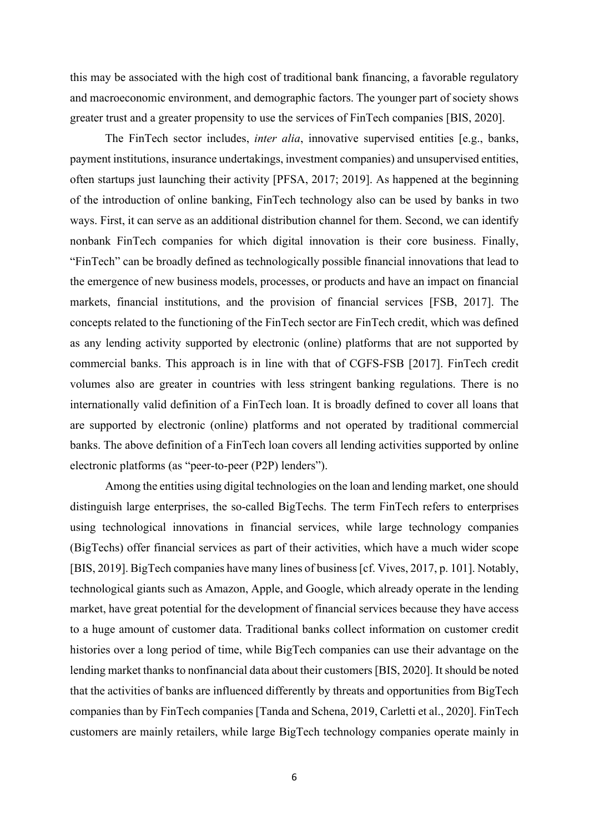this may be associated with the high cost of traditional bank financing, a favorable regulatory and macroeconomic environment, and demographic factors. The younger part of society shows greater trust and a greater propensity to use the services of FinTech companies [BIS, 2020].

The FinTech sector includes, *inter alia*, innovative supervised entities [e.g., banks, payment institutions, insurance undertakings, investment companies) and unsupervised entities, often startups just launching their activity [PFSA, 2017; 2019]. As happened at the beginning of the introduction of online banking, FinTech technology also can be used by banks in two ways. First, it can serve as an additional distribution channel for them. Second, we can identify nonbank FinTech companies for which digital innovation is their core business. Finally, "FinTech" can be broadly defined as technologically possible financial innovations that lead to the emergence of new business models, processes, or products and have an impact on financial markets, financial institutions, and the provision of financial services [FSB, 2017]. The concepts related to the functioning of the FinTech sector are FinTech credit, which was defined as any lending activity supported by electronic (online) platforms that are not supported by commercial banks. This approach is in line with that of CGFS-FSB [2017]. FinTech credit volumes also are greater in countries with less stringent banking regulations. There is no internationally valid definition of a FinTech loan. It is broadly defined to cover all loans that are supported by electronic (online) platforms and not operated by traditional commercial banks. The above definition of a FinTech loan covers all lending activities supported by online electronic platforms (as "peer-to-peer (P2P) lenders").

Among the entities using digital technologies on the loan and lending market, one should distinguish large enterprises, the so-called BigTechs. The term FinTech refers to enterprises using technological innovations in financial services, while large technology companies (BigTechs) offer financial services as part of their activities, which have a much wider scope [BIS, 2019]. BigTech companies have many lines of business [cf. Vives, 2017, p. 101]. Notably, technological giants such as Amazon, Apple, and Google, which already operate in the lending market, have great potential for the development of financial services because they have access to a huge amount of customer data. Traditional banks collect information on customer credit histories over a long period of time, while BigTech companies can use their advantage on the lending market thanks to nonfinancial data about their customers [BIS, 2020]. It should be noted that the activities of banks are influenced differently by threats and opportunities from BigTech companies than by FinTech companies [Tanda and Schena, 2019, Carletti et al., 2020]. FinTech customers are mainly retailers, while large BigTech technology companies operate mainly in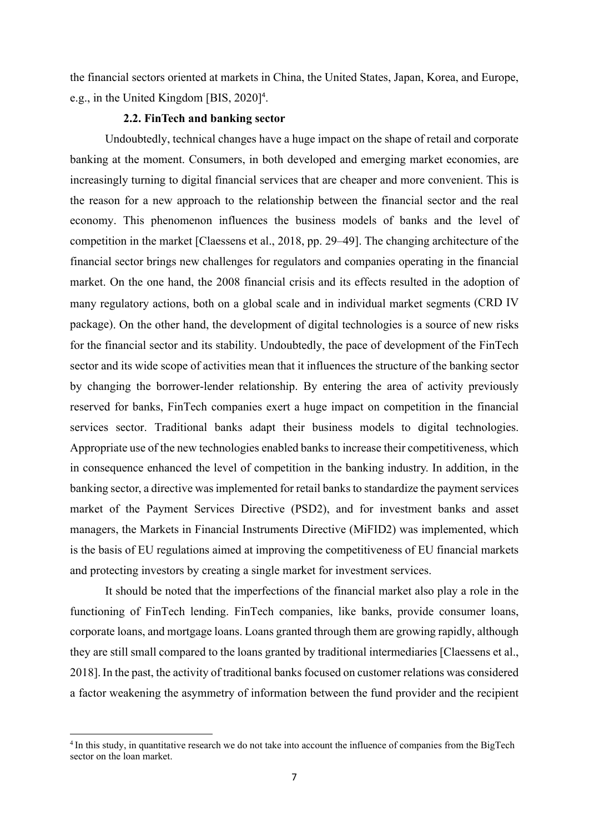the financial sectors oriented at markets in China, the United States, Japan, Korea, and Europe, e.g., in the United Kingdom [BIS, 2020]<sup>4</sup>.

## **2.2. FinTech and banking sector**

Undoubtedly, technical changes have a huge impact on the shape of retail and corporate banking at the moment. Consumers, in both developed and emerging market economies, are increasingly turning to digital financial services that are cheaper and more convenient. This is the reason for a new approach to the relationship between the financial sector and the real economy. This phenomenon influences the business models of banks and the level of competition in the market [Claessens et al., 2018, pp. 29–49]. The changing architecture of the financial sector brings new challenges for regulators and companies operating in the financial market. On the one hand, the 2008 financial crisis and its effects resulted in the adoption of many regulatory actions, both on a global scale and in individual market segments (CRD IV package). On the other hand, the development of digital technologies is a source of new risks for the financial sector and its stability. Undoubtedly, the pace of development of the FinTech sector and its wide scope of activities mean that it influences the structure of the banking sector by changing the borrower-lender relationship. By entering the area of activity previously reserved for banks, FinTech companies exert a huge impact on competition in the financial services sector. Traditional banks adapt their business models to digital technologies. Appropriate use of the new technologies enabled banks to increase their competitiveness, which in consequence enhanced the level of competition in the banking industry. In addition, in the banking sector, a directive was implemented for retail banks to standardize the payment services market of the Payment Services Directive (PSD2), and for investment banks and asset managers, the Markets in Financial Instruments Directive (MiFID2) was implemented, which is the basis of EU regulations aimed at improving the competitiveness of EU financial markets and protecting investors by creating a single market for investment services.

It should be noted that the imperfections of the financial market also play a role in the functioning of FinTech lending. FinTech companies, like banks, provide consumer loans, corporate loans, and mortgage loans. Loans granted through them are growing rapidly, although they are still small compared to the loans granted by traditional intermediaries [Claessens et al., 2018].In the past, the activity of traditional banks focused on customer relations was considered a factor weakening the asymmetry of information between the fund provider and the recipient

<sup>4</sup> In this study, in quantitative research we do not take into account the influence of companies from the BigTech sector on the loan market.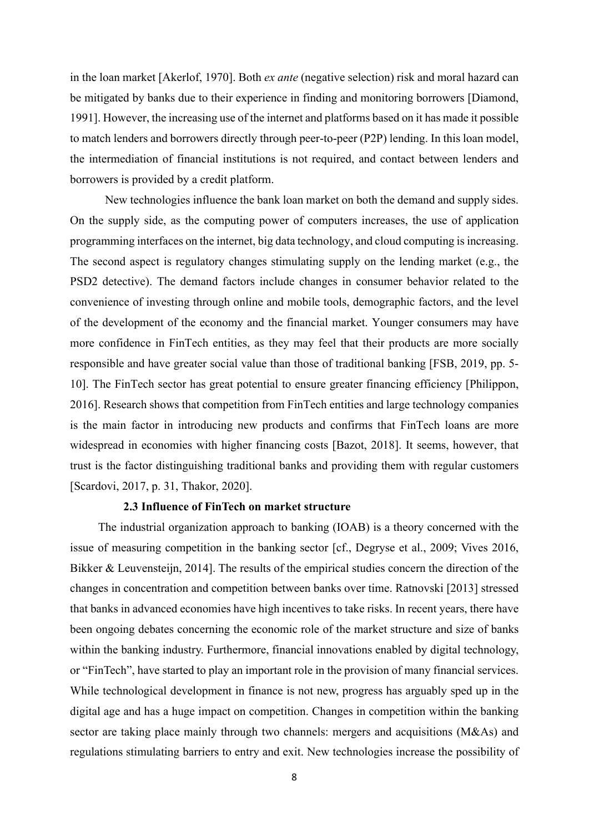in the loan market [Akerlof, 1970]. Both *ex ante* (negative selection) risk and moral hazard can be mitigated by banks due to their experience in finding and monitoring borrowers [Diamond, 1991]. However, the increasing use of the internet and platforms based on it has made it possible to match lenders and borrowers directly through peer-to-peer (P2P) lending. In this loan model, the intermediation of financial institutions is not required, and contact between lenders and borrowers is provided by a credit platform.

New technologies influence the bank loan market on both the demand and supply sides. On the supply side, as the computing power of computers increases, the use of application programming interfaces on the internet, big data technology, and cloud computing is increasing. The second aspect is regulatory changes stimulating supply on the lending market (e.g., the PSD2 detective). The demand factors include changes in consumer behavior related to the convenience of investing through online and mobile tools, demographic factors, and the level of the development of the economy and the financial market. Younger consumers may have more confidence in FinTech entities, as they may feel that their products are more socially responsible and have greater social value than those of traditional banking [FSB, 2019, pp. 5- 10]. The FinTech sector has great potential to ensure greater financing efficiency [Philippon, 2016]. Research shows that competition from FinTech entities and large technology companies is the main factor in introducing new products and confirms that FinTech loans are more widespread in economies with higher financing costs [Bazot, 2018]. It seems, however, that trust is the factor distinguishing traditional banks and providing them with regular customers [Scardovi, 2017, p. 31, Thakor, 2020].

### **2.3 Influence of FinTech on market structure**

The industrial organization approach to banking (IOAB) is a theory concerned with the issue of measuring competition in the banking sector [cf., Degryse et al., 2009; Vives 2016, Bikker & Leuvensteijn, 2014]. The results of the empirical studies concern the direction of the changes in concentration and competition between banks over time. Ratnovski [2013] stressed that banks in advanced economies have high incentives to take risks. In recent years, there have been ongoing debates concerning the economic role of the market structure and size of banks within the banking industry. Furthermore, financial innovations enabled by digital technology, or "FinTech", have started to play an important role in the provision of many financial services. While technological development in finance is not new, progress has arguably sped up in the digital age and has a huge impact on competition. Changes in competition within the banking sector are taking place mainly through two channels: mergers and acquisitions (M&As) and regulations stimulating barriers to entry and exit. New technologies increase the possibility of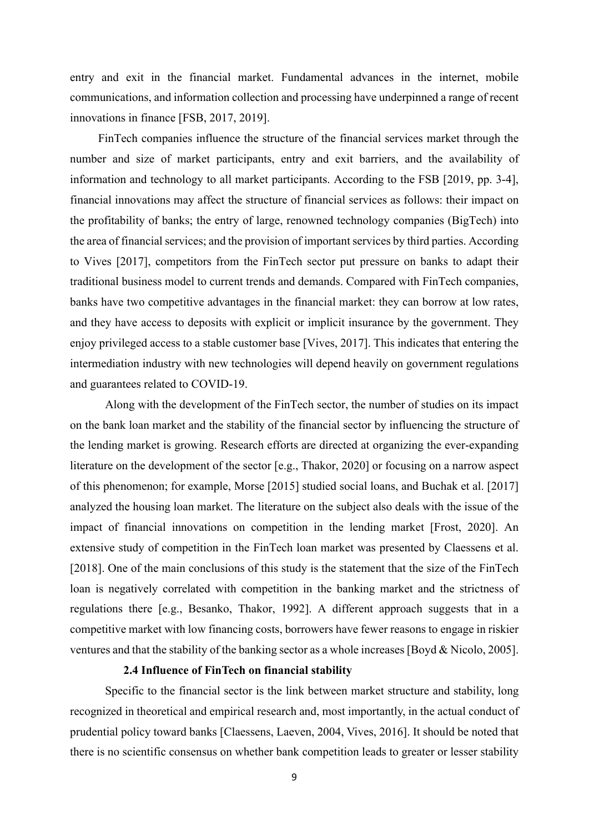entry and exit in the financial market. Fundamental advances in the internet, mobile communications, and information collection and processing have underpinned a range of recent innovations in finance [FSB, 2017, 2019].

FinTech companies influence the structure of the financial services market through the number and size of market participants, entry and exit barriers, and the availability of information and technology to all market participants. According to the FSB [2019, pp. 3-4], financial innovations may affect the structure of financial services as follows: their impact on the profitability of banks; the entry of large, renowned technology companies (BigTech) into the area of financial services; and the provision of important services by third parties. According to Vives [2017], competitors from the FinTech sector put pressure on banks to adapt their traditional business model to current trends and demands. Compared with FinTech companies, banks have two competitive advantages in the financial market: they can borrow at low rates, and they have access to deposits with explicit or implicit insurance by the government. They enjoy privileged access to a stable customer base [Vives, 2017]. This indicates that entering the intermediation industry with new technologies will depend heavily on government regulations and guarantees related to COVID-19.

Along with the development of the FinTech sector, the number of studies on its impact on the bank loan market and the stability of the financial sector by influencing the structure of the lending market is growing. Research efforts are directed at organizing the ever-expanding literature on the development of the sector [e.g., Thakor, 2020] or focusing on a narrow aspect of this phenomenon; for example, Morse [2015] studied social loans, and Buchak et al. [2017] analyzed the housing loan market. The literature on the subject also deals with the issue of the impact of financial innovations on competition in the lending market [Frost, 2020]. An extensive study of competition in the FinTech loan market was presented by Claessens et al. [2018]. One of the main conclusions of this study is the statement that the size of the FinTech loan is negatively correlated with competition in the banking market and the strictness of regulations there [e.g., Besanko, Thakor, 1992]. A different approach suggests that in a competitive market with low financing costs, borrowers have fewer reasons to engage in riskier ventures and that the stability of the banking sector as a whole increases [Boyd & Nicolo, 2005].

### **2.4 Influence of FinTech on financial stability**

Specific to the financial sector is the link between market structure and stability, long recognized in theoretical and empirical research and, most importantly, in the actual conduct of prudential policy toward banks [Claessens, Laeven, 2004, Vives, 2016]. It should be noted that there is no scientific consensus on whether bank competition leads to greater or lesser stability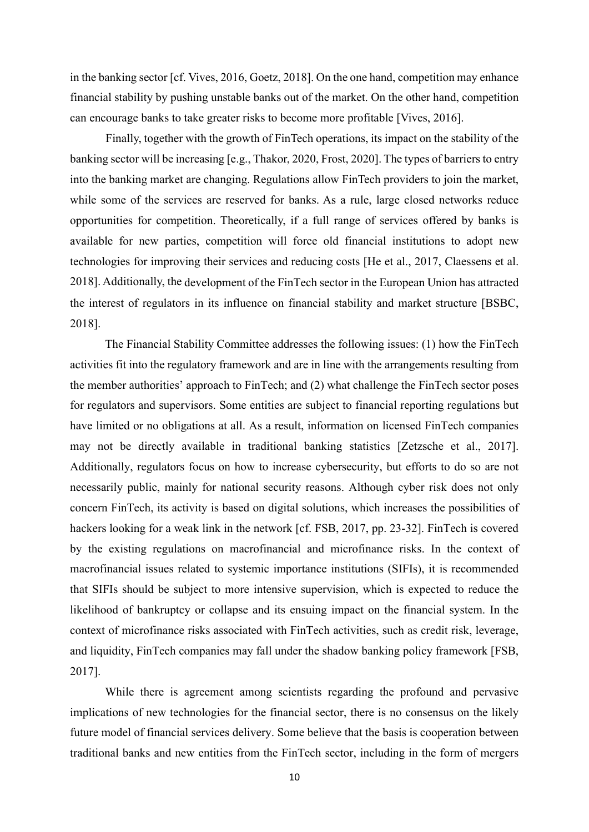in the banking sector [cf. Vives, 2016, Goetz, 2018]. On the one hand, competition may enhance financial stability by pushing unstable banks out of the market. On the other hand, competition can encourage banks to take greater risks to become more profitable [Vives, 2016].

Finally, together with the growth of FinTech operations, its impact on the stability of the banking sector will be increasing [e.g., Thakor, 2020, Frost, 2020]. The types of barriers to entry into the banking market are changing. Regulations allow FinTech providers to join the market, while some of the services are reserved for banks. As a rule, large closed networks reduce opportunities for competition. Theoretically, if a full range of services offered by banks is available for new parties, competition will force old financial institutions to adopt new technologies for improving their services and reducing costs [He et al., 2017, Claessens et al. 2018]. Additionally, the development of the FinTech sector in the European Union has attracted the interest of regulators in its influence on financial stability and market structure [BSBC, 2018].

The Financial Stability Committee addresses the following issues: (1) how the FinTech activities fit into the regulatory framework and are in line with the arrangements resulting from the member authorities' approach to FinTech; and (2) what challenge the FinTech sector poses for regulators and supervisors. Some entities are subject to financial reporting regulations but have limited or no obligations at all. As a result, information on licensed FinTech companies may not be directly available in traditional banking statistics [Zetzsche et al., 2017]. Additionally, regulators focus on how to increase cybersecurity, but efforts to do so are not necessarily public, mainly for national security reasons. Although cyber risk does not only concern FinTech, its activity is based on digital solutions, which increases the possibilities of hackers looking for a weak link in the network [cf. FSB, 2017, pp. 23-32]. FinTech is covered by the existing regulations on macrofinancial and microfinance risks. In the context of macrofinancial issues related to systemic importance institutions (SIFIs), it is recommended that SIFIs should be subject to more intensive supervision, which is expected to reduce the likelihood of bankruptcy or collapse and its ensuing impact on the financial system. In the context of microfinance risks associated with FinTech activities, such as credit risk, leverage, and liquidity, FinTech companies may fall under the shadow banking policy framework [FSB, 2017].

While there is agreement among scientists regarding the profound and pervasive implications of new technologies for the financial sector, there is no consensus on the likely future model of financial services delivery. Some believe that the basis is cooperation between traditional banks and new entities from the FinTech sector, including in the form of mergers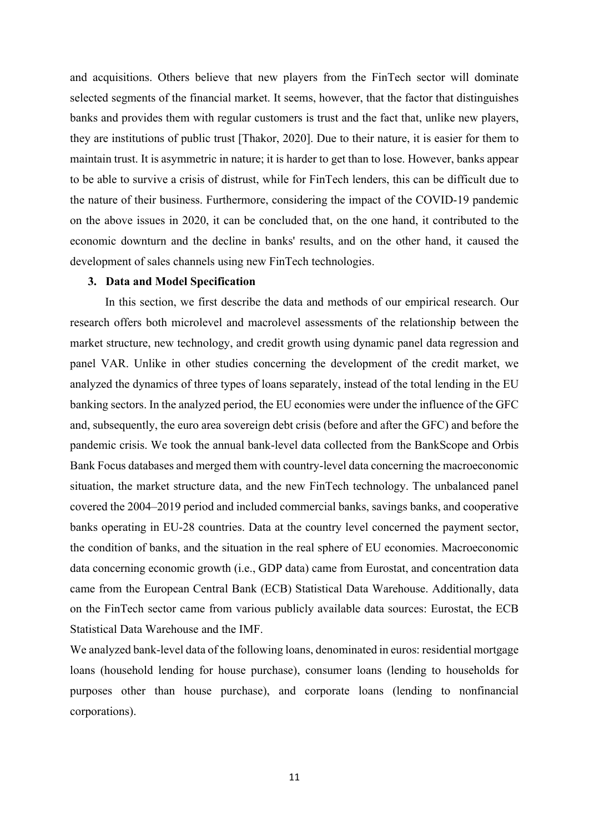and acquisitions. Others believe that new players from the FinTech sector will dominate selected segments of the financial market. It seems, however, that the factor that distinguishes banks and provides them with regular customers is trust and the fact that, unlike new players, they are institutions of public trust [Thakor, 2020]. Due to their nature, it is easier for them to maintain trust. It is asymmetric in nature; it is harder to get than to lose. However, banks appear to be able to survive a crisis of distrust, while for FinTech lenders, this can be difficult due to the nature of their business. Furthermore, considering the impact of the COVID-19 pandemic on the above issues in 2020, it can be concluded that, on the one hand, it contributed to the economic downturn and the decline in banks' results, and on the other hand, it caused the development of sales channels using new FinTech technologies.

### **3. Data and Model Specification**

In this section, we first describe the data and methods of our empirical research. Our research offers both microlevel and macrolevel assessments of the relationship between the market structure, new technology, and credit growth using dynamic panel data regression and panel VAR. Unlike in other studies concerning the development of the credit market, we analyzed the dynamics of three types of loans separately, instead of the total lending in the EU banking sectors. In the analyzed period, the EU economies were under the influence of the GFC and, subsequently, the euro area sovereign debt crisis (before and after the GFC) and before the pandemic crisis. We took the annual bank-level data collected from the BankScope and Orbis Bank Focus databases and merged them with country-level data concerning the macroeconomic situation, the market structure data, and the new FinTech technology. The unbalanced panel covered the 2004–2019 period and included commercial banks, savings banks, and cooperative banks operating in EU-28 countries. Data at the country level concerned the payment sector, the condition of banks, and the situation in the real sphere of EU economies. Macroeconomic data concerning economic growth (i.e., GDP data) came from Eurostat, and concentration data came from the European Central Bank (ECB) Statistical Data Warehouse. Additionally, data on the FinTech sector came from various publicly available data sources: Eurostat, the ECB Statistical Data Warehouse and the IMF.

We analyzed bank-level data of the following loans, denominated in euros: residential mortgage loans (household lending for house purchase), consumer loans (lending to households for purposes other than house purchase), and corporate loans (lending to nonfinancial corporations).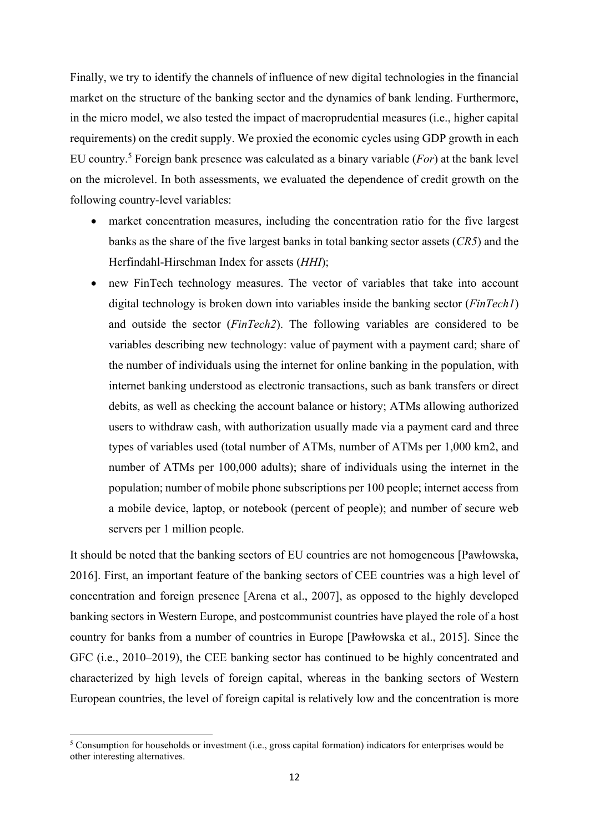Finally, we try to identify the channels of influence of new digital technologies in the financial market on the structure of the banking sector and the dynamics of bank lending. Furthermore, in the micro model, we also tested the impact of macroprudential measures (i.e., higher capital requirements) on the credit supply. We proxied the economic cycles using GDP growth in each EU country.5 Foreign bank presence was calculated as a binary variable (*For*) at the bank level on the microlevel. In both assessments, we evaluated the dependence of credit growth on the following country-level variables:

- market concentration measures, including the concentration ratio for the five largest banks as the share of the five largest banks in total banking sector assets (*CR5*) and the Herfindahl-Hirschman Index for assets (*HHI*);
- new FinTech technology measures. The vector of variables that take into account digital technology is broken down into variables inside the banking sector (*FinTech1*) and outside the sector (*FinTech2*). The following variables are considered to be variables describing new technology: value of payment with a payment card; share of the number of individuals using the internet for online banking in the population, with internet banking understood as electronic transactions, such as bank transfers or direct debits, as well as checking the account balance or history; ATMs allowing authorized users to withdraw cash, with authorization usually made via a payment card and three types of variables used (total number of ATMs, number of ATMs per 1,000 km2, and number of ATMs per 100,000 adults); share of individuals using the internet in the population; number of mobile phone subscriptions per 100 people; internet access from a mobile device, laptop, or notebook (percent of people); and number of secure web servers per 1 million people.

It should be noted that the banking sectors of EU countries are not homogeneous [Pawłowska, 2016]. First, an important feature of the banking sectors of CEE countries was a high level of concentration and foreign presence [Arena et al., 2007], as opposed to the highly developed banking sectors in Western Europe, and postcommunist countries have played the role of a host country for banks from a number of countries in Europe [Pawłowska et al., 2015]. Since the GFC (i.e., 2010–2019), the CEE banking sector has continued to be highly concentrated and characterized by high levels of foreign capital, whereas in the banking sectors of Western European countries, the level of foreign capital is relatively low and the concentration is more

<sup>5</sup> Consumption for households or investment (i.e., gross capital formation) indicators for enterprises would be other interesting alternatives.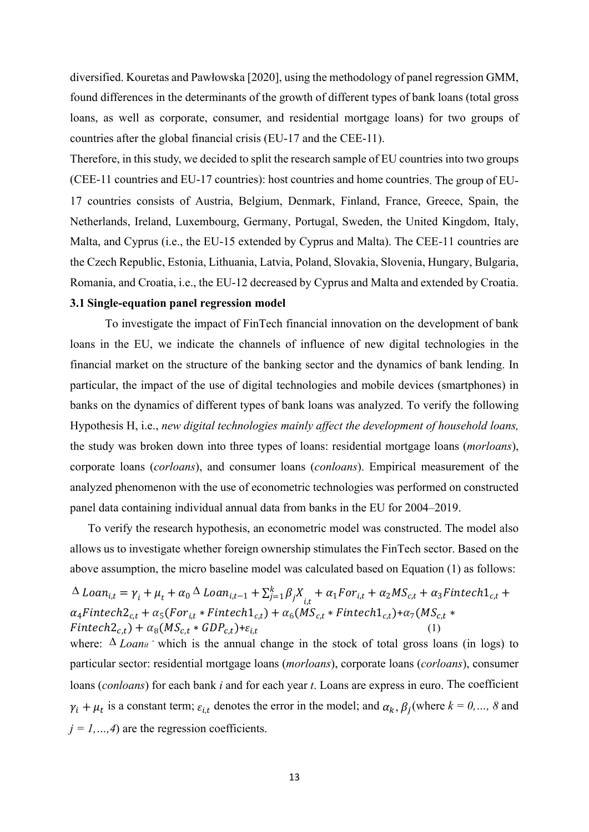diversified. Kouretas and Pawłowska [2020], using the methodology of panel regression GMM, found differences in the determinants of the growth of different types of bank loans (total gross loans, as well as corporate, consumer, and residential mortgage loans) for two groups of countries after the global financial crisis (EU-17 and the CEE-11).

Therefore, in this study, we decided to split the research sample of EU countries into two groups (CEE-11 countries and EU-17 countries): host countries and home countries. The group of EU-17 countries consists of Austria, Belgium, Denmark, Finland, France, Greece, Spain, the Netherlands, Ireland, Luxembourg, Germany, Portugal, Sweden, the United Kingdom, Italy, Malta, and Cyprus (i.e., the EU-15 extended by Cyprus and Malta). The CEE-11 countries are the Czech Republic, Estonia, Lithuania, Latvia, Poland, Slovakia, Slovenia, Hungary, Bulgaria, Romania, and Croatia, i.e., the EU-12 decreased by Cyprus and Malta and extended by Croatia. **3.1 Single-equation panel regression model** 

To investigate the impact of FinTech financial innovation on the development of bank loans in the EU, we indicate the channels of influence of new digital technologies in the financial market on the structure of the banking sector and the dynamics of bank lending. In particular, the impact of the use of digital technologies and mobile devices (smartphones) in banks on the dynamics of different types of bank loans was analyzed. To verify the following Hypothesis H, i.e., *new digital technologies mainly affect the development of household loans,* the study was broken down into three types of loans: residential mortgage loans (*morloans*), corporate loans (*corloans*), and consumer loans (*conloans*). Empirical measurement of the analyzed phenomenon with the use of econometric technologies was performed on constructed panel data containing individual annual data from banks in the EU for 2004–2019.

To verify the research hypothesis, an econometric model was constructed. The model also allows us to investigate whether foreign ownership stimulates the FinTech sector. Based on the above assumption, the micro baseline model was calculated based on Equation (1) as follows:

$$
\Delta\ Loa_{i,t} = \gamma_i + \mu_t + \alpha_0 \Delta\ Loa_{i,t-1} + \sum_{j=1}^k \beta_j X_{i,t} + \alpha_1 For_{i,t} + \alpha_2 MS_{c,t} + \alpha_3 Finterch_{c,t} + \alpha_4 Finterch_{c,t} + \alpha_5 (For_{i,t} * Finterch_{c,t}) + \alpha_6 (MS_{c,t} * Finterch_{c,t}) + \alpha_7 (MS_{c,t} * Finterch_{c,t}) + \alpha_8 (MS_{c,t} * GDP_{c,t}) + \varepsilon_{i,t}
$$
\n(1)

where:  $\Delta$  *Loan<sub>it</sub>* which is the annual change in the stock of total gross loans (in logs) to particular sector: residential mortgage loans (*morloans*), corporate loans (*corloans*), consumer loans (*conloans*) for each bank *i* and for each year *t*. Loans are express in euro. The coefficient  $\gamma_i + \mu_t$  is a constant term;  $\varepsilon_{i,t}$  denotes the error in the model; and  $\alpha_k$ ,  $\beta_i$  (where  $k = 0, \dots, 8$  and  $j = 1, ..., 4$  are the regression coefficients.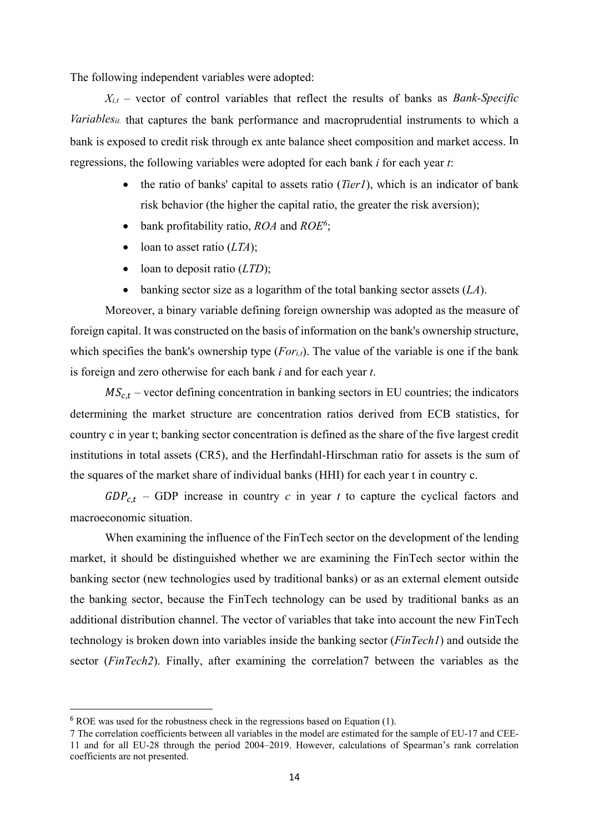The following independent variables were adopted:

 $X_{i,t}$  – vector of control variables that reflect the results of banks as *Bank-Specific Variablesit* that captures the bank performance and macroprudential instruments to which a bank is exposed to credit risk through ex ante balance sheet composition and market access. In regressions, the following variables were adopted for each bank *i* for each year *t*:

- the ratio of banks' capital to assets ratio (*Tier1*), which is an indicator of bank risk behavior (the higher the capital ratio, the greater the risk aversion);
- bank profitability ratio, *ROA* and *ROE6* ;
- loan to asset ratio (*LTA*);
- loan to deposit ratio (*LTD*);
- banking sector size as a logarithm of the total banking sector assets (*LA*).

Moreover, a binary variable defining foreign ownership was adopted as the measure of foreign capital. It was constructed on the basis of information on the bank's ownership structure, which specifies the bank's ownership type (*For<sub>i,t</sub>*). The value of the variable is one if the bank is foreign and zero otherwise for each bank *i* and for each year *t*.

 $MS_{c,t}$  – vector defining concentration in banking sectors in EU countries; the indicators determining the market structure are concentration ratios derived from ECB statistics, for country c in year t; banking sector concentration is defined as the share of the five largest credit institutions in total assets (CR5), and the Herfindahl-Hirschman ratio for assets is the sum of the squares of the market share of individual banks (HHI) for each year t in country c.

 $GDP_{ct}$  – GDP increase in country *c* in year *t* to capture the cyclical factors and macroeconomic situation.

When examining the influence of the FinTech sector on the development of the lending market, it should be distinguished whether we are examining the FinTech sector within the banking sector (new technologies used by traditional banks) or as an external element outside the banking sector, because the FinTech technology can be used by traditional banks as an additional distribution channel. The vector of variables that take into account the new FinTech technology is broken down into variables inside the banking sector (*FinTech1*) and outside the sector (*FinTech2*). Finally, after examining the correlation7 between the variables as the

 $6$  ROE was used for the robustness check in the regressions based on Equation (1).

<sup>7</sup> The correlation coefficients between all variables in the model are estimated for the sample of EU-17 and CEE-11 and for all EU-28 through the period 2004–2019. However, calculations of Spearman's rank correlation coefficients are not presented.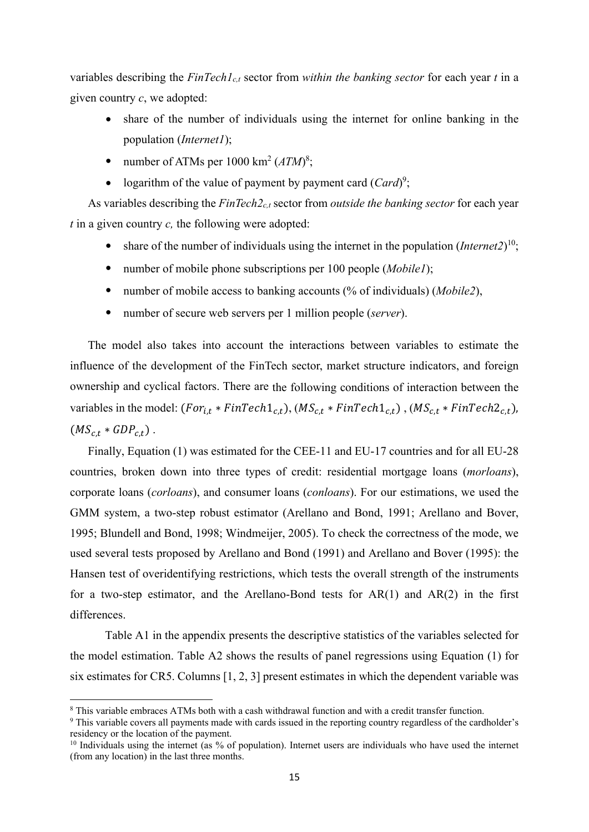variables describing the *FinTech1c,t* sector from *within the banking sector* for each year *t* in a given country *c*, we adopted:

- share of the number of individuals using the internet for online banking in the population (*Internet1*);
- number of ATMs per  $1000 \text{ km}^2 (ATM)^8$ ;
- logarithm of the value of payment by payment card  $(Card)^9$ ;

As variables describing the *FinTech2c,t* sector from *outside the banking sector* for each year *t* in a given country *c,* the following were adopted:

- share of the number of individuals using the internet in the population (*Internet2*)<sup>10</sup>;
- number of mobile phone subscriptions per 100 people (*Mobile1*);
- number of mobile access to banking accounts (% of individuals) (*Mobile2*),
- number of secure web servers per 1 million people (*server*).

The model also takes into account the interactions between variables to estimate the influence of the development of the FinTech sector, market structure indicators, and foreign ownership and cyclical factors. There are the following conditions of interaction between the variables in the model:  $(For_{i,t} * FinTechn_{c,t})$ ,  $(MS_{c,t} * FinTechn_{c,t})$ ,  $(MS_{c,t} * FinTechn_{c,t})$ ,  $(MS_{c,t} * GDP_{c,t})$ .

Finally, Equation (1) was estimated for the CEE-11 and EU-17 countries and for all EU-28 countries, broken down into three types of credit: residential mortgage loans (*morloans*), corporate loans (*corloans*), and consumer loans (*conloans*). For our estimations, we used the GMM system, a two-step robust estimator (Arellano and Bond, 1991; Arellano and Bover, 1995; Blundell and Bond, 1998; Windmeijer, 2005). To check the correctness of the mode, we used several tests proposed by Arellano and Bond (1991) and Arellano and Bover (1995): the Hansen test of overidentifying restrictions, which tests the overall strength of the instruments for a two-step estimator, and the Arellano-Bond tests for  $AR(1)$  and  $AR(2)$  in the first differences.

Table A1 in the appendix presents the descriptive statistics of the variables selected for the model estimation. Table A2 shows the results of panel regressions using Equation (1) for six estimates for CR5. Columns [1, 2, 3] present estimates in which the dependent variable was

<sup>8</sup> This variable embraces ATMs both with a cash withdrawal function and with a credit transfer function.

<sup>&</sup>lt;sup>9</sup> This variable covers all payments made with cards issued in the reporting country regardless of the cardholder's residency or the location of the payment.

<sup>&</sup>lt;sup>10</sup> Individuals using the internet (as % of population). Internet users are individuals who have used the internet (from any location) in the last three months.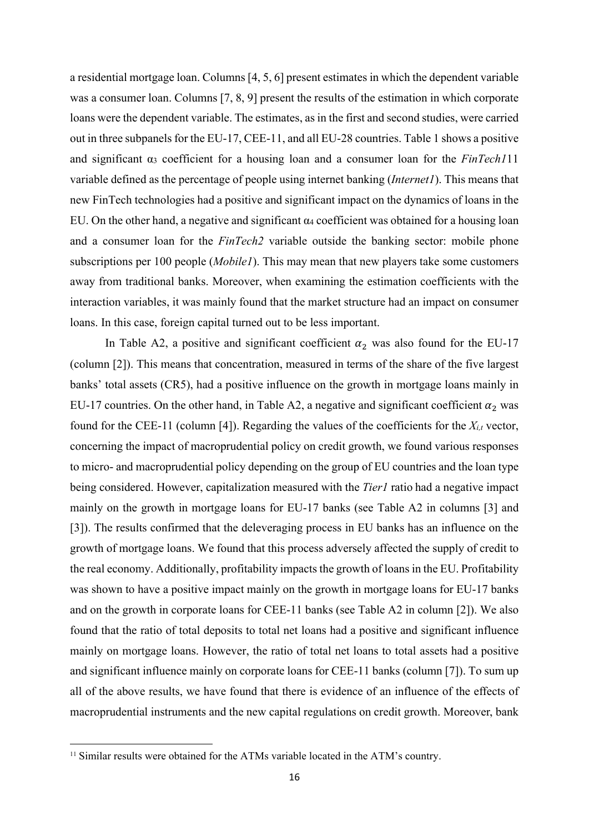a residential mortgage loan. Columns [4, 5, 6] present estimates in which the dependent variable was a consumer loan. Columns [7, 8, 9] present the results of the estimation in which corporate loans were the dependent variable. The estimates, as in the first and second studies, were carried out in three subpanels for the EU-17, CEE-11, and all EU-28 countries. Table 1 shows a positive and significant α3 coefficient for a housing loan and a consumer loan for the *FinTech1*11 variable defined as the percentage of people using internet banking (*Internet1*). This means that new FinTech technologies had a positive and significant impact on the dynamics of loans in the EU. On the other hand, a negative and significant  $\alpha_4$  coefficient was obtained for a housing loan and a consumer loan for the *FinTech2* variable outside the banking sector: mobile phone subscriptions per 100 people (*Mobile1*). This may mean that new players take some customers away from traditional banks. Moreover, when examining the estimation coefficients with the interaction variables, it was mainly found that the market structure had an impact on consumer loans. In this case, foreign capital turned out to be less important.

In Table A2, a positive and significant coefficient  $\alpha_2$  was also found for the EU-17 (column [2]). This means that concentration, measured in terms of the share of the five largest banks' total assets (CR5), had a positive influence on the growth in mortgage loans mainly in EU-17 countries. On the other hand, in Table A2, a negative and significant coefficient  $\alpha_2$  was found for the CEE-11 (column [4]). Regarding the values of the coefficients for the *Xi,t* vector, concerning the impact of macroprudential policy on credit growth, we found various responses to micro- and macroprudential policy depending on the group of EU countries and the loan type being considered. However, capitalization measured with the *Tier1* ratio had a negative impact mainly on the growth in mortgage loans for EU-17 banks (see Table A2 in columns [3] and [3]). The results confirmed that the deleveraging process in EU banks has an influence on the growth of mortgage loans. We found that this process adversely affected the supply of credit to the real economy. Additionally, profitability impacts the growth of loans in the EU. Profitability was shown to have a positive impact mainly on the growth in mortgage loans for EU-17 banks and on the growth in corporate loans for CEE-11 banks (see Table A2 in column [2]). We also found that the ratio of total deposits to total net loans had a positive and significant influence mainly on mortgage loans. However, the ratio of total net loans to total assets had a positive and significant influence mainly on corporate loans for CEE-11 banks (column [7]). To sum up all of the above results, we have found that there is evidence of an influence of the effects of macroprudential instruments and the new capital regulations on credit growth. Moreover, bank

<sup>&</sup>lt;sup>11</sup> Similar results were obtained for the ATMs variable located in the ATM's country.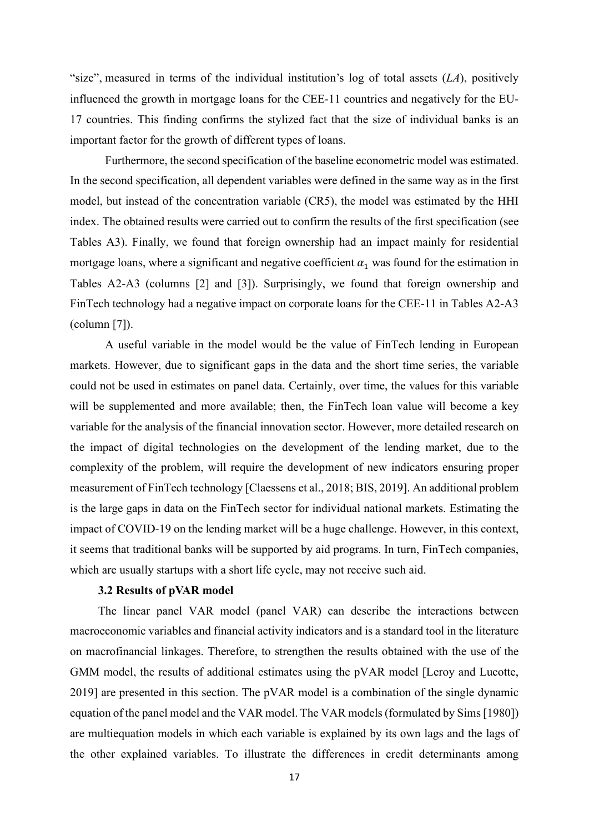"size", measured in terms of the individual institution's log of total assets  $(LA)$ , positively influenced the growth in mortgage loans for the CEE-11 countries and negatively for the EU-17 countries. This finding confirms the stylized fact that the size of individual banks is an important factor for the growth of different types of loans.

Furthermore, the second specification of the baseline econometric model was estimated. In the second specification, all dependent variables were defined in the same way as in the first model, but instead of the concentration variable (CR5), the model was estimated by the HHI index. The obtained results were carried out to confirm the results of the first specification (see Tables A3). Finally, we found that foreign ownership had an impact mainly for residential mortgage loans, where a significant and negative coefficient  $\alpha_1$  was found for the estimation in Tables A2-A3 (columns [2] and [3]). Surprisingly, we found that foreign ownership and FinTech technology had a negative impact on corporate loans for the CEE-11 in Tables A2-A3 (column [7]).

A useful variable in the model would be the value of FinTech lending in European markets. However, due to significant gaps in the data and the short time series, the variable could not be used in estimates on panel data. Certainly, over time, the values for this variable will be supplemented and more available; then, the FinTech loan value will become a key variable for the analysis of the financial innovation sector. However, more detailed research on the impact of digital technologies on the development of the lending market, due to the complexity of the problem, will require the development of new indicators ensuring proper measurement of FinTech technology [Claessens et al., 2018; BIS, 2019]. An additional problem is the large gaps in data on the FinTech sector for individual national markets. Estimating the impact of COVID-19 on the lending market will be a huge challenge. However, in this context, it seems that traditional banks will be supported by aid programs. In turn, FinTech companies, which are usually startups with a short life cycle, may not receive such aid.

### **3.2 Results of pVAR model**

The linear panel VAR model (panel VAR) can describe the interactions between macroeconomic variables and financial activity indicators and is a standard tool in the literature on macrofinancial linkages. Therefore, to strengthen the results obtained with the use of the GMM model, the results of additional estimates using the pVAR model [Leroy and Lucotte, 2019] are presented in this section. The pVAR model is a combination of the single dynamic equation of the panel model and the VAR model. The VAR models (formulated by Sims [1980]) are multiequation models in which each variable is explained by its own lags and the lags of the other explained variables. To illustrate the differences in credit determinants among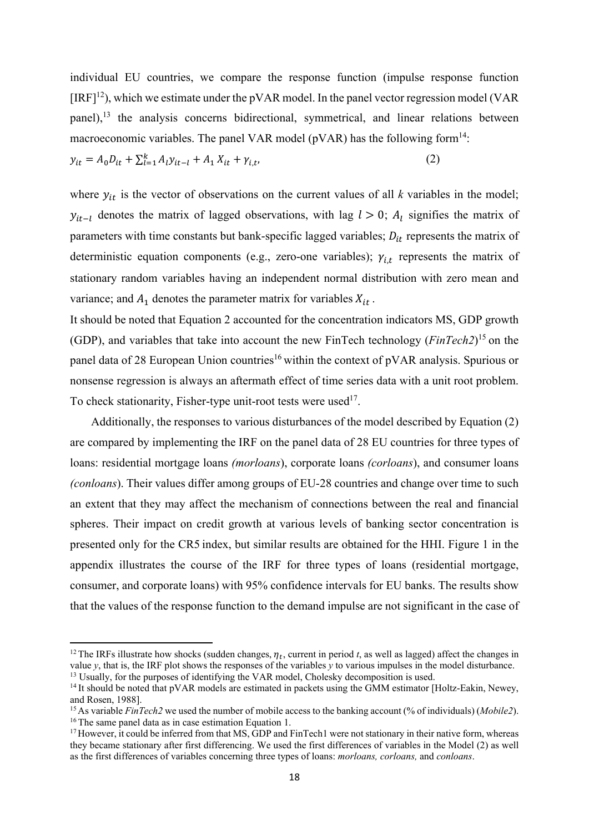individual EU countries, we compare the response function (impulse response function  $[IRF]^{12}$ ), which we estimate under the pVAR model. In the panel vector regression model (VAR) panel),<sup>13</sup> the analysis concerns bidirectional, symmetrical, and linear relations between macroeconomic variables. The panel VAR model ( $pVAR$ ) has the following form<sup>14</sup>:

$$
y_{it} = A_0 D_{it} + \sum_{l=1}^{k} A_l y_{it-l} + A_1 X_{it} + \gamma_{i,t},
$$
\n(2)

where  $y_{it}$  is the vector of observations on the current values of all *k* variables in the model;  $y_{it-l}$  denotes the matrix of lagged observations, with lag  $l > 0$ ;  $A_l$  signifies the matrix of parameters with time constants but bank-specific lagged variables;  $D_{it}$  represents the matrix of deterministic equation components (e.g., zero-one variables);  $\gamma_{i,t}$  represents the matrix of stationary random variables having an independent normal distribution with zero mean and variance; and  $A_1$  denotes the parameter matrix for variables  $X_{it}$ .

It should be noted that Equation 2 accounted for the concentration indicators MS, GDP growth (GDP), and variables that take into account the new FinTech technology (*FinTech2*) 15 on the panel data of 28 European Union countries<sup>16</sup> within the context of pVAR analysis. Spurious or nonsense regression is always an aftermath effect of time series data with a unit root problem. To check stationarity, Fisher-type unit-root tests were used<sup>17</sup>.

Additionally, the responses to various disturbances of the model described by Equation (2) are compared by implementing the IRF on the panel data of 28 EU countries for three types of loans: residential mortgage loans *(morloans*), corporate loans *(corloans*), and consumer loans *(conloans*). Their values differ among groups of EU-28 countries and change over time to such an extent that they may affect the mechanism of connections between the real and financial spheres. Their impact on credit growth at various levels of banking sector concentration is presented only for the CR5 index, but similar results are obtained for the HHI. Figure 1 in the appendix illustrates the course of the IRF for three types of loans (residential mortgage, consumer, and corporate loans) with 95% confidence intervals for EU banks. The results show that the values of the response function to the demand impulse are not significant in the case of

<sup>&</sup>lt;sup>12</sup> The IRFs illustrate how shocks (sudden changes,  $\eta_t$ , current in period *t*, as well as lagged) affect the changes in value *y*, that is, the IRF plot shows the responses of the variables *y* to various impulses in the model disturbance.<br><sup>13</sup> Usually, for the purposes of identifying the VAR model, Cholesky decomposition is used.

<sup>&</sup>lt;sup>14</sup> It should be noted that pVAR models are estimated in packets using the GMM estimator [Holtz-Eakin, Newey, and Rosen, 1988].

<sup>15</sup> As variable *FinTech2* we used the number of mobile access to the banking account (% of individuals) (*Mobile2*). <sup>16</sup> The same panel data as in case estimation Equation 1.

<sup>&</sup>lt;sup>17</sup> However, it could be inferred from that MS, GDP and FinTech1 were not stationary in their native form, whereas they became stationary after first differencing. We used the first differences of variables in the Model (2) as well as the first differences of variables concerning three types of loans: *morloans, corloans,* and *conloans*.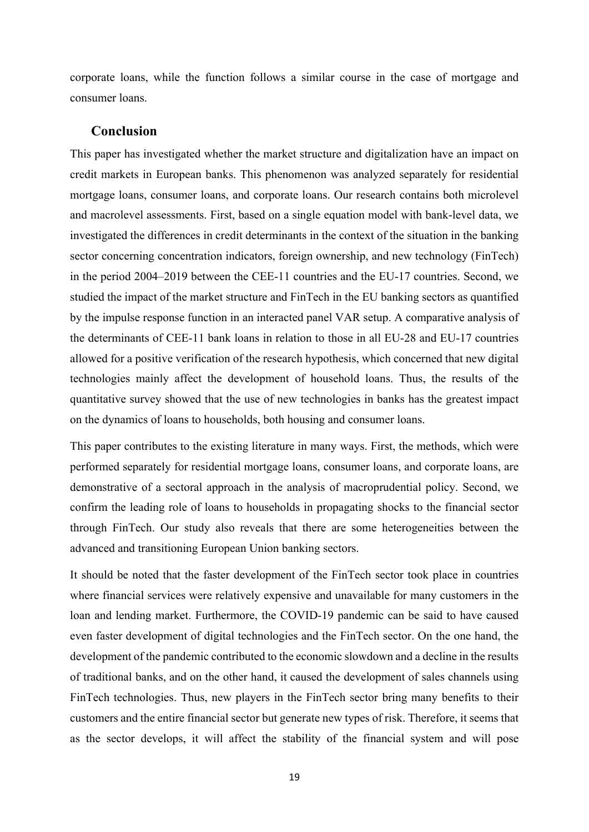corporate loans, while the function follows a similar course in the case of mortgage and consumer loans.

## **Conclusion**

This paper has investigated whether the market structure and digitalization have an impact on credit markets in European banks. This phenomenon was analyzed separately for residential mortgage loans, consumer loans, and corporate loans. Our research contains both microlevel and macrolevel assessments. First, based on a single equation model with bank-level data, we investigated the differences in credit determinants in the context of the situation in the banking sector concerning concentration indicators, foreign ownership, and new technology (FinTech) in the period 2004–2019 between the CEE-11 countries and the EU-17 countries. Second, we studied the impact of the market structure and FinTech in the EU banking sectors as quantified by the impulse response function in an interacted panel VAR setup. A comparative analysis of the determinants of CEE-11 bank loans in relation to those in all EU-28 and EU-17 countries allowed for a positive verification of the research hypothesis, which concerned that new digital technologies mainly affect the development of household loans. Thus, the results of the quantitative survey showed that the use of new technologies in banks has the greatest impact on the dynamics of loans to households, both housing and consumer loans.

This paper contributes to the existing literature in many ways. First, the methods, which were performed separately for residential mortgage loans, consumer loans, and corporate loans, are demonstrative of a sectoral approach in the analysis of macroprudential policy. Second, we confirm the leading role of loans to households in propagating shocks to the financial sector through FinTech. Our study also reveals that there are some heterogeneities between the advanced and transitioning European Union banking sectors.

It should be noted that the faster development of the FinTech sector took place in countries where financial services were relatively expensive and unavailable for many customers in the loan and lending market. Furthermore, the COVID-19 pandemic can be said to have caused even faster development of digital technologies and the FinTech sector. On the one hand, the development of the pandemic contributed to the economic slowdown and a decline in the results of traditional banks, and on the other hand, it caused the development of sales channels using FinTech technologies. Thus, new players in the FinTech sector bring many benefits to their customers and the entire financial sector but generate new types of risk. Therefore, it seems that as the sector develops, it will affect the stability of the financial system and will pose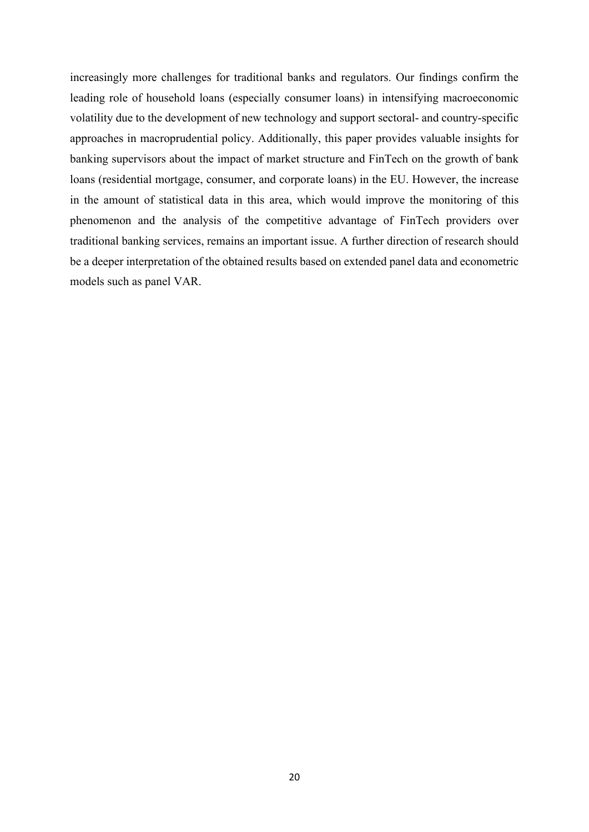increasingly more challenges for traditional banks and regulators. Our findings confirm the leading role of household loans (especially consumer loans) in intensifying macroeconomic volatility due to the development of new technology and support sectoral- and country-specific approaches in macroprudential policy. Additionally, this paper provides valuable insights for banking supervisors about the impact of market structure and FinTech on the growth of bank loans (residential mortgage, consumer, and corporate loans) in the EU. However, the increase in the amount of statistical data in this area, which would improve the monitoring of this phenomenon and the analysis of the competitive advantage of FinTech providers over traditional banking services, remains an important issue. A further direction of research should be a deeper interpretation of the obtained results based on extended panel data and econometric models such as panel VAR.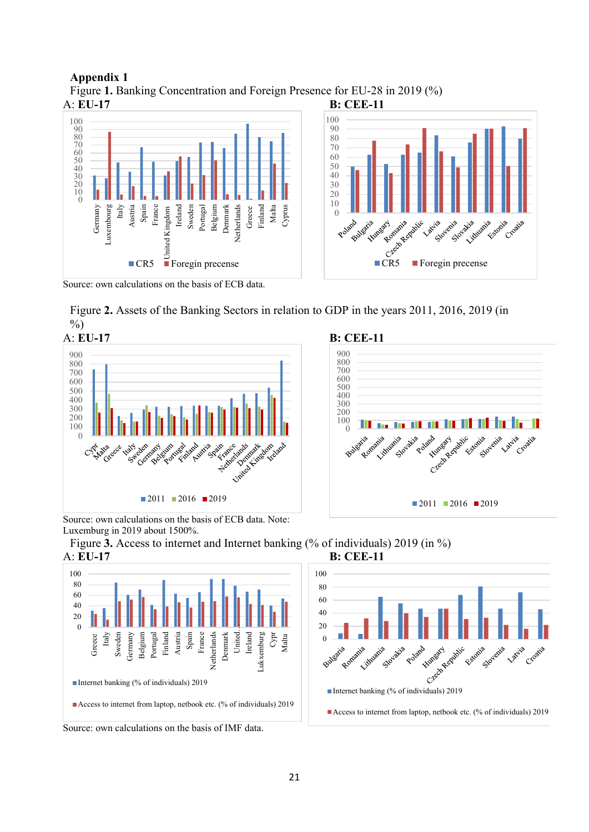



Source: own calculations on the basis of ECB data.

Figure **2.** Assets of the Banking Sectors in relation to GDP in the years 2011, 2016, 2019 (in  $\frac{0}{0}$ 

0

Bulgaria

Aira Reach Romania







Created National Created and Created

c<br>Vacija

cita votita

akia unio ship valida

ita<br>F<sup>5tonita</sup> Croatia







Source: own calculations on the basis of IMF data.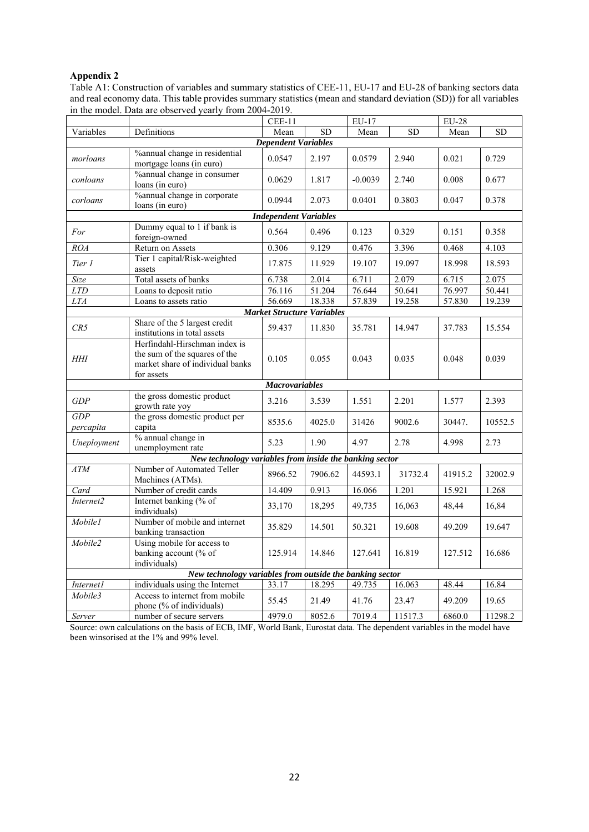## **Appendix 2**

Table A1: Construction of variables and summary statistics of CEE-11, EU-17 and EU-28 of banking sectors data and real economy data. This table provides summary statistics (mean and standard deviation (SD)) for all variables in the model. Data are observed yearly from 2004-2019.

|                              |                                                                                                                  | $CEE-11$                          |         | $EU-17$           |         | $EU-28$           |         |  |  |  |  |
|------------------------------|------------------------------------------------------------------------------------------------------------------|-----------------------------------|---------|-------------------|---------|-------------------|---------|--|--|--|--|
| Variables                    | Definitions                                                                                                      | <b>SD</b><br>Mean                 |         | <b>SD</b><br>Mean |         | <b>SD</b><br>Mean |         |  |  |  |  |
| <b>Dependent Variables</b>   |                                                                                                                  |                                   |         |                   |         |                   |         |  |  |  |  |
| morloans                     | %annual change in residential<br>mortgage loans (in euro)                                                        | 0.0547                            | 2.197   | 0.0579            | 2.940   | 0.021             | 0.729   |  |  |  |  |
| conloans                     | %annual change in consumer<br>loans (in euro)                                                                    | 0.0629                            | 1.817   | $-0.0039$         | 2.740   | 0.008             | 0.677   |  |  |  |  |
| corloans                     | %annual change in corporate<br>loans (in euro)                                                                   | 0.0944                            | 2.073   | 0.0401            | 0.3803  | 0.047             | 0.378   |  |  |  |  |
| <b>Independent Variables</b> |                                                                                                                  |                                   |         |                   |         |                   |         |  |  |  |  |
| For                          | Dummy equal to 1 if bank is<br>foreign-owned                                                                     | 0.564                             | 0.496   | 0.123             | 0.329   | 0.151             | 0.358   |  |  |  |  |
| <b>ROA</b>                   | Return on Assets                                                                                                 | 0.306                             | 9.129   | 0.476             | 3.396   | 0.468             | 4.103   |  |  |  |  |
| Tier 1                       | Tier 1 capital/Risk-weighted<br>assets                                                                           | 17.875                            | 11.929  | 19.107            | 19.097  | 18.998            | 18.593  |  |  |  |  |
| Size                         | Total assets of banks                                                                                            | 6.738                             | 2.014   | 6.711             | 2.079   | 6.715             | 2.075   |  |  |  |  |
| <b>LTD</b>                   | Loans to deposit ratio                                                                                           | 76.116                            | 51.204  | 76.644            | 50.641  | 76.997            | 50.441  |  |  |  |  |
| $LTA$                        | Loans to assets ratio                                                                                            | 56.669                            | 18.338  | 57.839            | 19.258  | 57.830            | 19.239  |  |  |  |  |
|                              |                                                                                                                  | <b>Market Structure Variables</b> |         |                   |         |                   |         |  |  |  |  |
| CR5                          | Share of the 5 largest credit<br>institutions in total assets                                                    | 59.437                            | 11.830  | 35.781            | 14.947  | 37.783            | 15.554  |  |  |  |  |
| HHI                          | Herfindahl-Hirschman index is<br>the sum of the squares of the<br>market share of individual banks<br>for assets | 0.105                             | 0.055   | 0.043             | 0.035   | 0.048             | 0.039   |  |  |  |  |
| <b>Macrovariables</b>        |                                                                                                                  |                                   |         |                   |         |                   |         |  |  |  |  |
| <b>GDP</b>                   | the gross domestic product<br>growth rate yoy                                                                    | 3.216                             | 3.539   | 1.551             | 2.201   | 1.577             | 2.393   |  |  |  |  |
| GDP<br>percapita             | the gross domestic product per<br>capita                                                                         | 8535.6                            | 4025.0  | 31426             | 9002.6  | 30447.            | 10552.5 |  |  |  |  |
| Uneployment                  | % annual change in<br>unemployment rate                                                                          | 5.23                              | 1.90    | 4.97              | 2.78    | 4.998             | 2.73    |  |  |  |  |
|                              | New technology variables from inside the banking sector                                                          |                                   |         |                   |         |                   |         |  |  |  |  |
| $\overline{ATM}$             | Number of Automated Teller<br>Machines (ATMs).                                                                   | 8966.52                           | 7906.62 | 44593.1           | 31732.4 | 41915.2           | 32002.9 |  |  |  |  |
| Card                         | Number of credit cards                                                                                           | 14.409                            | 0.913   | 16.066            | 1.201   | 15.921            | 1.268   |  |  |  |  |
| Internet2                    | Internet banking (% of<br>individuals)                                                                           | 33,170                            | 18,295  | 49,735            | 16,063  | 48,44             | 16,84   |  |  |  |  |
| Mobile1                      | Number of mobile and internet<br>banking transaction                                                             | 35.829                            | 14.501  | 50.321            | 19.608  | 49.209            | 19.647  |  |  |  |  |
| Mobile2                      | Using mobile for access to<br>banking account (% of<br>individuals)                                              | 125.914                           | 14.846  | 127.641           | 16.819  | 127.512           | 16.686  |  |  |  |  |
|                              | New technology variables from outside the banking sector                                                         |                                   |         |                   |         |                   |         |  |  |  |  |
| Internet1                    | individuals using the Internet                                                                                   | 33.17                             | 18.295  | 49.735            | 16.063  | 48.44             | 16.84   |  |  |  |  |
| Mobile3                      | Access to internet from mobile<br>phone (% of individuals)                                                       | 55.45                             | 21.49   | 41.76             | 23.47   | 49.209            | 19.65   |  |  |  |  |
| Server                       | number of secure servers                                                                                         | 4979.0                            | 8052.6  | 7019.4            | 11517.3 | 6860.0            | 11298.2 |  |  |  |  |

Source: own calculations on the basis of ECB, IMF, World Bank, Eurostat data. The dependent variables in the model have been winsorised at the 1% and 99% level.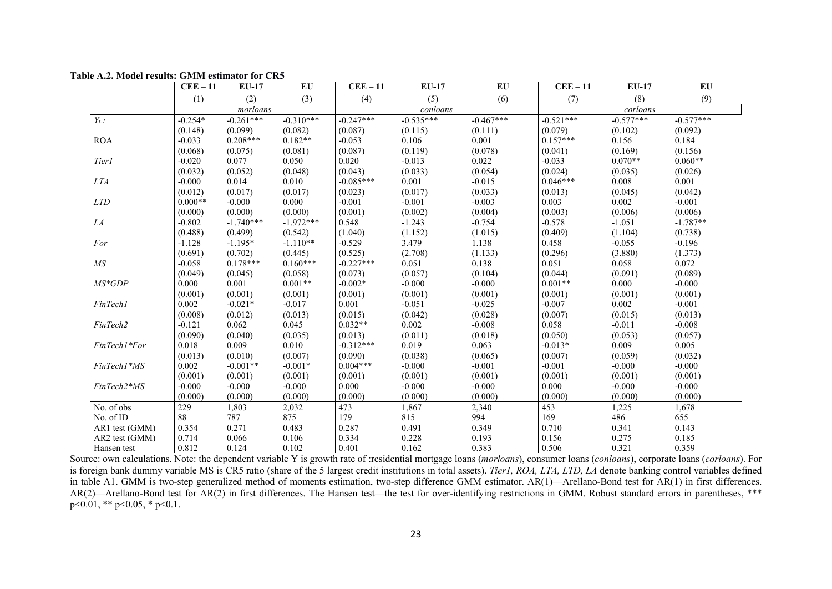|                | $CEE-11$  | $EU-17$     | EU          | $CEE-11$    | <b>EU-17</b> | EU          | $CEE-11$    | <b>EU-17</b> | EU          |
|----------------|-----------|-------------|-------------|-------------|--------------|-------------|-------------|--------------|-------------|
|                | (1)       | (2)         | (3)         | (4)         | (5)          | (6)         | (7)         | (8)          | (9)         |
|                |           | morloans    |             |             | conloans     |             |             | corloans     |             |
| $Y_{t-1}$      | $-0.254*$ | $-0.261***$ | $-0.310***$ | $-0.247***$ | $-0.535***$  | $-0.467***$ | $-0.521***$ | $-0.577***$  | $-0.577***$ |
|                | (0.148)   | (0.099)     | (0.082)     | (0.087)     | (0.115)      | (0.111)     | (0.079)     | (0.102)      | (0.092)     |
| <b>ROA</b>     | $-0.033$  | $0.208***$  | $0.182**$   | $-0.053$    | 0.106        | 0.001       | $0.157***$  | 0.156        | 0.184       |
|                | (0.068)   | (0.075)     | (0.081)     | (0.087)     | (0.119)      | (0.078)     | (0.041)     | (0.169)      | (0.156)     |
| Tier1          | $-0.020$  | 0.077       | 0.050       | 0.020       | $-0.013$     | 0.022       | $-0.033$    | $0.070**$    | $0.060**$   |
|                | (0.032)   | (0.052)     | (0.048)     | (0.043)     | (0.033)      | (0.054)     | (0.024)     | (0.035)      | (0.026)     |
| <i>LTA</i>     | $-0.000$  | 0.014       | 0.010       | $-0.085***$ | 0.001        | $-0.015$    | $0.046***$  | 0.008        | 0.001       |
|                | (0.012)   | (0.017)     | (0.017)     | (0.023)     | (0.017)      | (0.033)     | (0.013)     | (0.045)      | (0.042)     |
| <i>LTD</i>     | $0.000**$ | $-0.000$    | 0.000       | $-0.001$    | $-0.001$     | $-0.003$    | 0.003       | 0.002        | $-0.001$    |
|                | (0.000)   | (0.000)     | (0.000)     | (0.001)     | (0.002)      | (0.004)     | (0.003)     | (0.006)      | (0.006)     |
| LA             | $-0.802$  | $-1.740***$ | $-1.972***$ | 0.548       | $-1.243$     | $-0.754$    | $-0.578$    | $-1.051$     | $-1.787**$  |
|                | (0.488)   | (0.499)     | (0.542)     | (1.040)     | (1.152)      | (1.015)     | (0.409)     | (1.104)      | (0.738)     |
| For            | $-1.128$  | $-1.195*$   | $-1.110**$  | $-0.529$    | 3.479        | 1.138       | 0.458       | $-0.055$     | $-0.196$    |
|                | (0.691)   | (0.702)     | (0.445)     | (0.525)     | (2.708)      | (1.133)     | (0.296)     | (3.880)      | (1.373)     |
| MS             | $-0.058$  | $0.178***$  | $0.160***$  | $-0.227***$ | 0.051        | 0.138       | 0.051       | 0.058        | 0.072       |
|                | (0.049)   | (0.045)     | (0.058)     | (0.073)     | (0.057)      | (0.104)     | (0.044)     | (0.091)      | (0.089)     |
| $MS*GDP$       | 0.000     | 0.001       | $0.001**$   | $-0.002*$   | $-0.000$     | $-0.000$    | $0.001**$   | 0.000        | $-0.000$    |
|                | (0.001)   | (0.001)     | (0.001)     | (0.001)     | (0.001)      | (0.001)     | (0.001)     | (0.001)      | (0.001)     |
| FinTech1       | 0.002     | $-0.021*$   | $-0.017$    | 0.001       | $-0.051$     | $-0.025$    | $-0.007$    | 0.002        | $-0.001$    |
|                | (0.008)   | (0.012)     | (0.013)     | (0.015)     | (0.042)      | (0.028)     | (0.007)     | (0.015)      | (0.013)     |
| FinTech2       | $-0.121$  | 0.062       | 0.045       | $0.032**$   | 0.002        | $-0.008$    | 0.058       | $-0.011$     | $-0.008$    |
|                | (0.090)   | (0.040)     | (0.035)     | (0.013)     | (0.011)      | (0.018)     | (0.050)     | (0.053)      | (0.057)     |
| FinTech1*For   | 0.018     | 0.009       | 0.010       | $-0.312***$ | 0.019        | 0.063       | $-0.013*$   | 0.009        | 0.005       |
|                | (0.013)   | (0.010)     | (0.007)     | (0.090)     | (0.038)      | (0.065)     | (0.007)     | (0.059)      | (0.032)     |
| FinTech1*MS    | 0.002     | $-0.001**$  | $-0.001*$   | $0.004***$  | $-0.000$     | $-0.001$    | $-0.001$    | $-0.000$     | $-0.000$    |
|                | (0.001)   | (0.001)     | (0.001)     | (0.001)     | (0.001)      | (0.001)     | (0.001)     | (0.001)      | (0.001)     |
| FinTech2*MS    | $-0.000$  | $-0.000$    | $-0.000$    | 0.000       | $-0.000$     | $-0.000$    | 0.000       | $-0.000$     | $-0.000$    |
|                | (0.000)   | (0.000)     | (0.000)     | (0.000)     | (0.000)      | (0.000)     | (0.000)     | (0.000)      | (0.000)     |
| No. of obs     | 229       | 1,803       | 2,032       | 473         | 1,867        | 2,340       | 453         | 1,225        | 1,678       |
| No. of ID      | 88        | 787         | 875         | 179         | 815          | 994         | 169         | 486          | 655         |
| AR1 test (GMM) | 0.354     | 0.271       | 0.483       | 0.287       | 0.491        | 0.349       | 0.710       | 0.341        | 0.143       |
| AR2 test (GMM) | 0.714     | 0.066       | 0.106       | 0.334       | 0.228        | 0.193       | 0.156       | 0.275        | 0.185       |
| Hansen test    | 0.812     | 0.124       | 0.102       | 0.401       | 0.162        | 0.383       | 0.506       | 0.321        | 0.359       |

Source: own calculations. Note: the dependent variable Y is growth rate of :residential mortgage loans (*morloans*), consumer loans (*conloans*), corporate loans (*corloans*). For is foreign bank dummy variable MS is CR5 ratio (share of the 5 largest credit institutions in total assets). *Tier1, ROA, LTA, LTD, LA* denote banking control variables defined in table A1. GMM is two-step generalized method of moments estimation, two-step difference GMM estimator. AR(1)—Arellano-Bond test for AR(1) in first differences. AR(2)—Arellano-Bond test for AR(2) in first differences. The Hansen test—the test for over-identifying restrictions in GMM. Robust standard errors in parentheses, \*\*\*  $p<0.01$ , \*\*  $p<0.05$ , \*  $p<0.1$ .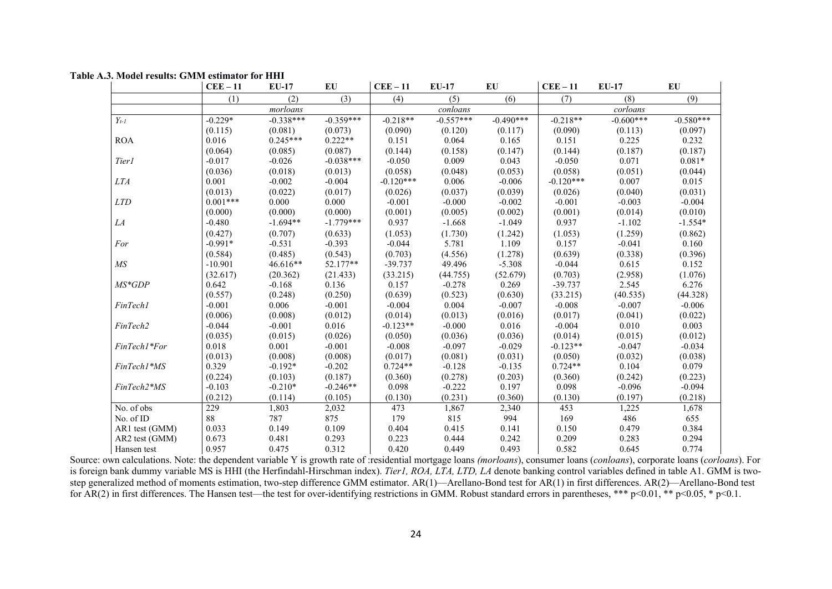|  |  |  |  |  |  | Table A.3. Model results: GMM estimator for HHI |  |  |
|--|--|--|--|--|--|-------------------------------------------------|--|--|
|--|--|--|--|--|--|-------------------------------------------------|--|--|

|                 | $CEE-11$   | <b>EU-17</b> | EU          | $CEE-11$    | <b>EU-17</b> | EU          | $CEE-11$    | <b>EU-17</b> | EU          |
|-----------------|------------|--------------|-------------|-------------|--------------|-------------|-------------|--------------|-------------|
|                 | (1)        | (2)          | (3)         | (4)         | (5)          | (6)         | (7)         | (8)          | (9)         |
|                 |            | morloans     |             |             | conloans     |             |             | corloans     |             |
| $Y_{t-l}$       | $-0.229*$  | $-0.338***$  | $-0.359***$ | $-0.218**$  | $-0.557***$  | $-0.490***$ | $-0.218**$  | $-0.600***$  | $-0.580***$ |
|                 | (0.115)    | (0.081)      | (0.073)     | (0.090)     | (0.120)      | (0.117)     | (0.090)     | (0.113)      | (0.097)     |
| <b>ROA</b>      | 0.016      | $0.245***$   | $0.222**$   | 0.151       | 0.064        | 0.165       | 0.151       | 0.225        | 0.232       |
|                 | (0.064)    | (0.085)      | (0.087)     | (0.144)     | (0.158)      | (0.147)     | (0.144)     | (0.187)      | (0.187)     |
| Tier1           | $-0.017$   | $-0.026$     | $-0.038***$ | $-0.050$    | 0.009        | 0.043       | $-0.050$    | 0.071        | $0.081*$    |
|                 | (0.036)    | (0.018)      | (0.013)     | (0.058)     | (0.048)      | (0.053)     | (0.058)     | (0.051)      | (0.044)     |
| <b>LTA</b>      | 0.001      | $-0.002$     | $-0.004$    | $-0.120***$ | 0.006        | $-0.006$    | $-0.120***$ | 0.007        | 0.015       |
|                 | (0.013)    | (0.022)      | (0.017)     | (0.026)     | (0.037)      | (0.039)     | (0.026)     | (0.040)      | (0.031)     |
| <b>LTD</b>      | $0.001***$ | 0.000        | 0.000       | $-0.001$    | $-0.000$     | $-0.002$    | $-0.001$    | $-0.003$     | $-0.004$    |
|                 | (0.000)    | (0.000)      | (0.000)     | (0.001)     | (0.005)      | (0.002)     | (0.001)     | (0.014)      | (0.010)     |
| LA              | $-0.480$   | $-1.694**$   | $-1.779***$ | 0.937       | $-1.668$     | $-1.049$    | 0.937       | $-1.102$     | $-1.554*$   |
|                 | (0.427)    | (0.707)      | (0.633)     | (1.053)     | (1.730)      | (1.242)     | (1.053)     | (1.259)      | (0.862)     |
| For             | $-0.991*$  | $-0.531$     | $-0.393$    | $-0.044$    | 5.781        | 1.109       | 0.157       | $-0.041$     | 0.160       |
|                 | (0.584)    | (0.485)      | (0.543)     | (0.703)     | (4.556)      | (1.278)     | (0.639)     | (0.338)      | (0.396)     |
| $\overline{MS}$ | $-10.901$  | 46.616**     | 52.177**    | $-39.737$   | 49.496       | $-5.308$    | $-0.044$    | 0.615        | 0.152       |
|                 | (32.617)   | (20.362)     | (21.433)    | (33.215)    | (44.755)     | (52.679)    | (0.703)     | (2.958)      | (1.076)     |
| $MS*GDP$        | 0.642      | $-0.168$     | 0.136       | 0.157       | $-0.278$     | 0.269       | $-39.737$   | 2.545        | 6.276       |
|                 | (0.557)    | (0.248)      | (0.250)     | (0.639)     | (0.523)      | (0.630)     | (33.215)    | (40.535)     | (44.328)    |
| FinTech1        | $-0.001$   | 0.006        | $-0.001$    | $-0.004$    | 0.004        | $-0.007$    | $-0.008$    | $-0.007$     | $-0.006$    |
|                 | (0.006)    | (0.008)      | (0.012)     | (0.014)     | (0.013)      | (0.016)     | (0.017)     | (0.041)      | (0.022)     |
| FinTech2        | $-0.044$   | $-0.001$     | 0.016       | $-0.123**$  | $-0.000$     | 0.016       | $-0.004$    | 0.010        | 0.003       |
|                 | (0.035)    | (0.015)      | (0.026)     | (0.050)     | (0.036)      | (0.036)     | (0.014)     | (0.015)      | (0.012)     |
| FinTech1*For    | 0.018      | 0.001        | $-0.001$    | $-0.008$    | $-0.097$     | $-0.029$    | $-0.123**$  | $-0.047$     | $-0.034$    |
|                 | (0.013)    | (0.008)      | (0.008)     | (0.017)     | (0.081)      | (0.031)     | (0.050)     | (0.032)      | (0.038)     |
| FinTech1*MS     | 0.329      | $-0.192*$    | $-0.202$    | $0.724**$   | $-0.128$     | $-0.135$    | $0.724**$   | 0.104        | 0.079       |
|                 | (0.224)    | (0.103)      | (0.187)     | (0.360)     | (0.278)      | (0.203)     | (0.360)     | (0.242)      | (0.223)     |
| FinTech2*MS     | $-0.103$   | $-0.210*$    | $-0.246**$  | 0.098       | $-0.222$     | 0.197       | 0.098       | $-0.096$     | $-0.094$    |
|                 | (0.212)    | (0.114)      | (0.105)     | (0.130)     | (0.231)      | (0.360)     | (0.130)     | (0.197)      | (0.218)     |
| No. of obs      | 229        | 1,803        | 2,032       | 473         | 1,867        | 2,340       | 453         | 1,225        | 1,678       |
| No. of ID       | 88         | 787          | 875         | 179         | 815          | 994         | 169         | 486          | 655         |
| AR1 test (GMM)  | 0.033      | 0.149        | 0.109       | 0.404       | 0.415        | 0.141       | 0.150       | 0.479        | 0.384       |
| AR2 test (GMM)  | 0.673      | 0.481        | 0.293       | 0.223       | 0.444        | 0.242       | 0.209       | 0.283        | 0.294       |
| Hansen test     | 0.957      | 0.475        | 0.312       | 0.420       | 0.449        | 0.493       | 0.582       | 0.645        | 0.774       |

Source: own calculations. Note: the dependent variable Y is growth rate of :residential mortgage loans *(morloans*), consumer loans (*conloans*), corporate loans (*corloans*). For is foreign bank dummy variable MS is HHI (the Herfindahl-Hirschman index). *Tier1, ROA, LTA, LTD, LA* denote banking control variables defined in table A1. GMM is twostep generalized method of moments estimation, two-step difference GMM estimator. AR(1)—Arellano-Bond test for AR(1) in first differences. AR(2)—Arellano-Bond test for AR(2) in first differences. The Hansen test—the test for over-identifying restrictions in GMM. Robust standard errors in parentheses, \*\*\* p<0.01, \*\* p<0.05, \* p<0.1.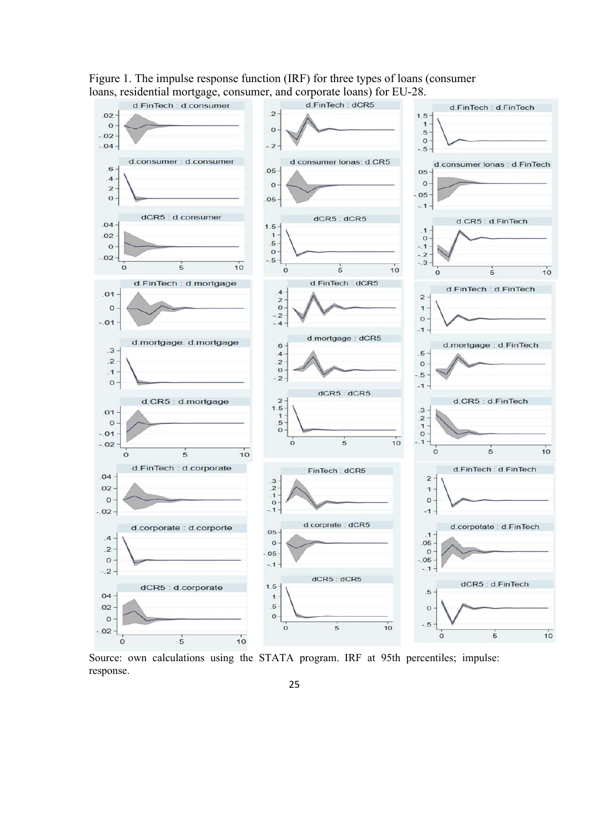

Figure 1. The impulse response function (IRF) for three types of loans (consumer

Source: own calculations using the STATA program. IRF at 95th percentiles; impulse: response.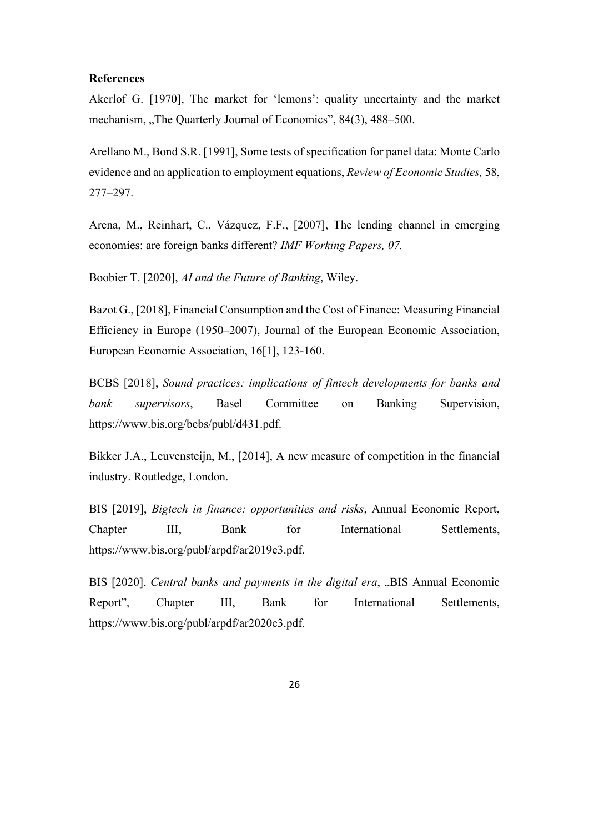## **References**

Akerlof G. [1970], The market for 'lemons': quality uncertainty and the market mechanism, "The Quarterly Journal of Economics", 84(3), 488–500.

Arellano M., Bond S.R. [1991], Some tests of specification for panel data: Monte Carlo evidence and an application to employment equations, *Review of Economic Studies,* 58, 277–297.

Arena, M., Reinhart, C., Vázquez, F.F., [2007], The lending channel in emerging economies: are foreign banks different? *IMF Working Papers, 07.*

Boobier T. [2020], *AI and the Future of Banking*, Wiley.

Bazot G., [2018], Financial Consumption and the Cost of Finance: Measuring Financial Efficiency in Europe (1950–2007), Journal of the European Economic Association, European Economic Association, 16[1], 123-160.

BCBS [2018], *Sound practices: implications of fintech developments for banks and bank supervisors*, Basel Committee on Banking Supervision, https://www.bis.org/bcbs/publ/d431.pdf.

Bikker J.A., Leuvensteijn, M., [2014], A new measure of competition in the financial industry. Routledge, London.

BIS [2019], *Bigtech in finance: opportunities and risks*, Annual Economic Report, Chapter III, Bank for International Settlements, https://www.bis.org/publ/arpdf/ar2019e3.pdf.

BIS [2020], *Central banks and payments in the digital era*, "BIS Annual Economic Report", Chapter III, Bank for International Settlements, https://www.bis.org/publ/arpdf/ar2020e3.pdf.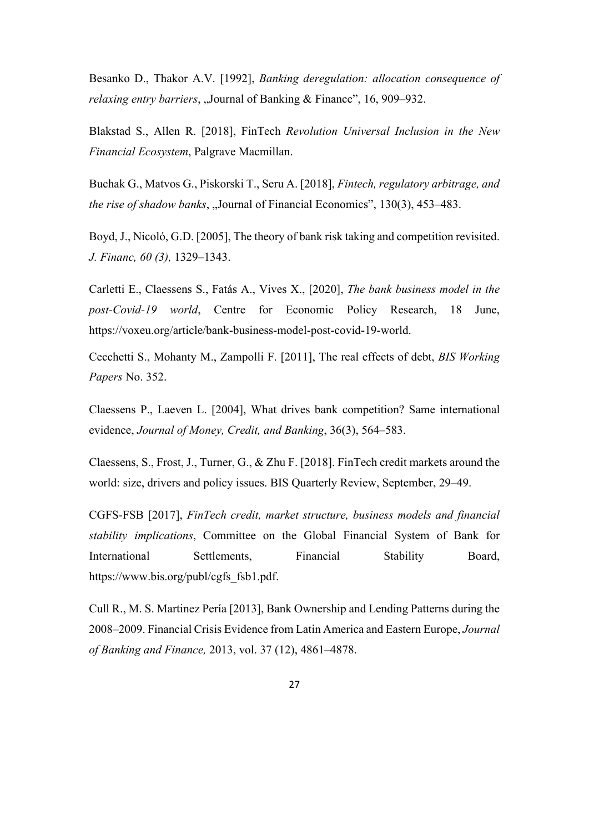Besanko D., Thakor A.V. [1992], *Banking deregulation: allocation consequence of relaxing entry barriers*, "Journal of Banking & Finance", 16, 909–932.

Blakstad S., Allen R. [2018], FinTech *Revolution Universal Inclusion in the New Financial Ecosystem*, Palgrave Macmillan.

Buchak G., Matvos G., Piskorski T., Seru A. [2018], *Fintech, regulatory arbitrage, and the rise of shadow banks*, "Journal of Financial Economics", 130(3), 453–483.

Boyd, J., Nicoló, G.D. [2005], The theory of bank risk taking and competition revisited. *J. Financ, 60 (3),* 1329–1343.

Carletti E., Claessens S., Fatás A., Vives X., [2020], *The bank business model in the post-Covid-19 world*, Centre for Economic Policy Research, 18 June, https://voxeu.org/article/bank-business-model-post-covid-19-world.

Cecchetti S., Mohanty M., Zampolli F. [2011], The real effects of debt, *BIS Working Papers* No. 352.

Claessens P., Laeven L. [2004], What drives bank competition? Same international evidence, *Journal of Money, Credit, and Banking*, 36(3), 564–583.

Claessens, S., Frost, J., Turner, G., & Zhu F. [2018]. FinTech credit markets around the world: size, drivers and policy issues. BIS Quarterly Review, September, 29–49.

CGFS-FSB [2017], *FinTech credit, market structure, business models and financial stability implications*, Committee on the Global Financial System of Bank for International Settlements, Financial Stability Board, https://www.bis.org/publ/cgfs\_fsb1.pdf.

Cull R., M. S. Martinez Pería [2013], Bank Ownership and Lending Patterns during the 2008–2009. Financial Crisis Evidence from Latin America and Eastern Europe, *Journal of Banking and Finance,* 2013, vol. 37 (12), 4861–4878.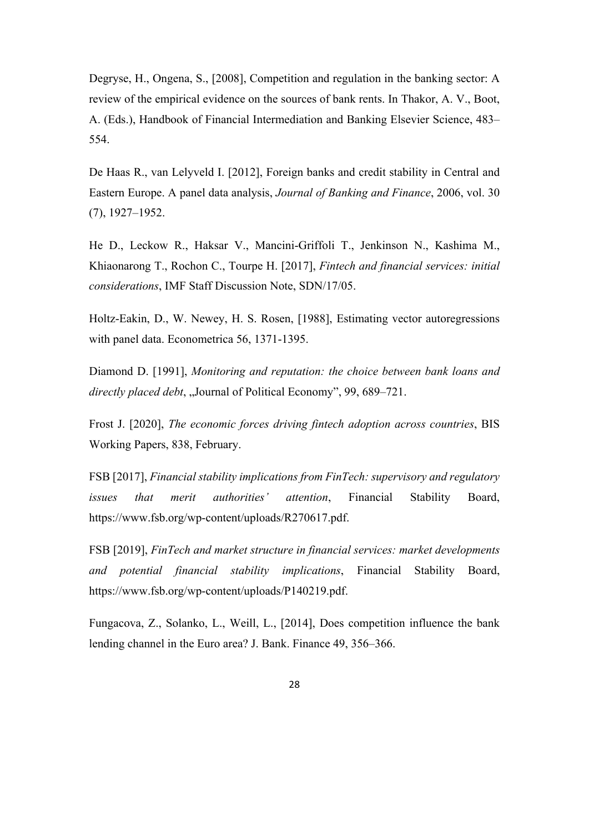Degryse, H., Ongena, S., [2008], Competition and regulation in the banking sector: A review of the empirical evidence on the sources of bank rents. In Thakor, A. V., Boot, A. (Eds.), Handbook of Financial Intermediation and Banking Elsevier Science, 483– 554.

De Haas R., van Lelyveld I. [2012], Foreign banks and credit stability in Central and Eastern Europe. A panel data analysis, *Journal of Banking and Finance*, 2006, vol. 30 (7), 1927–1952.

He D., Leckow R., Haksar V., Mancini-Griffoli T., Jenkinson N., Kashima M., Khiaonarong T., Rochon C., Tourpe H. [2017], *Fintech and financial services: initial considerations*, IMF Staff Discussion Note, SDN/17/05.

Holtz-Eakin, D., W. Newey, H. S. Rosen, [1988], Estimating vector autoregressions with panel data. Econometrica 56, 1371-1395.

Diamond D. [1991], *Monitoring and reputation: the choice between bank loans and directly placed debt*, "Journal of Political Economy", 99, 689–721.

Frost J. [2020], *The economic forces driving fintech adoption across countries*, BIS Working Papers, 838, February.

FSB [2017], *Financial stability implications from FinTech: supervisory and regulatory issues that merit authorities' attention*, Financial Stability Board, https://www.fsb.org/wp-content/uploads/R270617.pdf.

FSB [2019], *FinTech and market structure in financial services: market developments and potential financial stability implications*, Financial Stability Board, https://www.fsb.org/wp-content/uploads/P140219.pdf.

Fungacova, Z., Solanko, L., Weill, L., [2014], Does competition influence the bank lending channel in the Euro area? J. Bank. Finance 49, 356–366.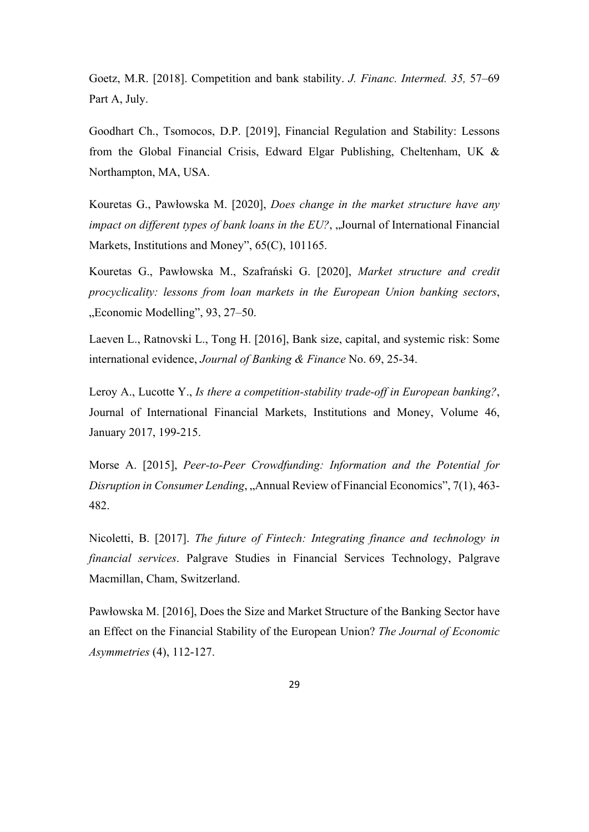Goetz, M.R. [2018]. Competition and bank stability. *J. Financ. Intermed. 35,* 57–69 Part A, July.

Goodhart Ch., Tsomocos, D.P. [2019], Financial Regulation and Stability: Lessons from the Global Financial Crisis, Edward Elgar Publishing, Cheltenham, UK & Northampton, MA, USA.

Kouretas G., Pawłowska M. [2020], *Does change in the market structure have any impact on different types of bank loans in the EU?*, "Journal of International Financial Markets, Institutions and Money", 65(C), 101165.

Kouretas G., Pawłowska M., Szafrański G. [2020], *Market structure and credit procyclicality: lessons from loan markets in the European Union banking sectors*, "Economic Modelling", 93, 27–50.

Laeven L., Ratnovski L., Tong H. [2016], Bank size, capital, and systemic risk: Some international evidence, *Journal of Banking & Finance* No. 69, 25-34.

Leroy A., Lucotte Y., *Is there a competition-stability trade-off in European banking?*, Journal of International Financial Markets, Institutions and Money, Volume 46, January 2017, 199-215.

Morse A. [2015], *Peer-to-Peer Crowdfunding: Information and the Potential for Disruption in Consumer Lending*, "Annual Review of Financial Economics", 7(1), 463-482.

Nicoletti, B. [2017]. *The future of Fintech: Integrating finance and technology in financial services*. Palgrave Studies in Financial Services Technology, Palgrave Macmillan, Cham, Switzerland.

Pawłowska M. [2016], Does the Size and Market Structure of the Banking Sector have an Effect on the Financial Stability of the European Union? *The Journal of Economic Asymmetries* (4), 112-127.